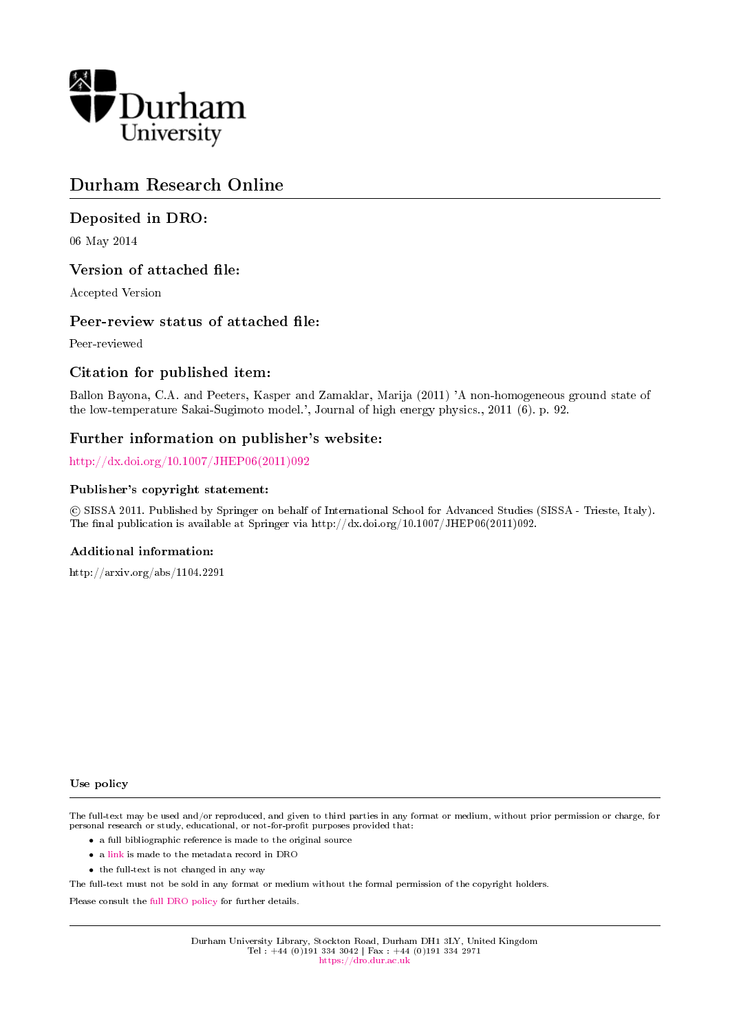

# Durham Research Online

## Deposited in DRO:

06 May 2014

## Version of attached file:

Accepted Version

## Peer-review status of attached file:

Peer-reviewed

## Citation for published item:

Ballon Bayona, C.A. and Peeters, Kasper and Zamaklar, Marija (2011) 'A non-homogeneous ground state of the low-temperature Sakai-Sugimoto model.', Journal of high energy physics., 2011 (6). p. 92.

## Further information on publisher's website:

[http://dx.doi.org/10.1007/JHEP06\(2011\)092](http://dx.doi.org/10.1007/JHEP06(2011)092)

#### Publisher's copyright statement:

 c SISSA 2011. Published by Springer on behalf of International School for Advanced Studies (SISSA - Trieste, Italy). The final publication is available at Springer via http://dx.doi.org/10.1007/JHEP06(2011)092.

#### Additional information:

http://arxiv.org/abs/1104.2291

#### Use policy

The full-text may be used and/or reproduced, and given to third parties in any format or medium, without prior permission or charge, for personal research or study, educational, or not-for-profit purposes provided that:

- a full bibliographic reference is made to the original source
- a [link](http://dro.dur.ac.uk/12325/) is made to the metadata record in DRO
- the full-text is not changed in any way

The full-text must not be sold in any format or medium without the formal permission of the copyright holders.

Please consult the [full DRO policy](https://dro.dur.ac.uk/policies/usepolicy.pdf) for further details.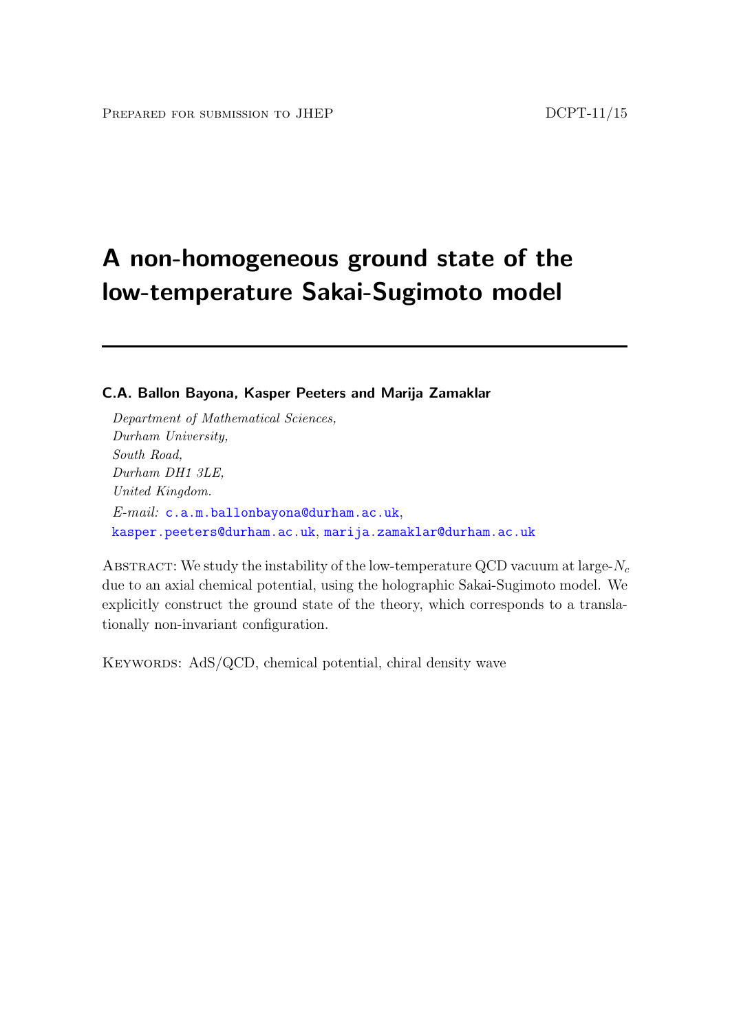# A non-homogeneous ground state of the low-temperature Sakai-Sugimoto model

C.A. Ballon Bayona, Kasper Peeters and Marija Zamaklar

Department of Mathematical Sciences, Durham University, South Road, Durham DH1 3LE, United Kingdom. E-mail: [c.a.m.ballonbayona@durham.ac.uk](mailto:c.a.m.ballonbayona@durham.ac.uk), [kasper.peeters@durham.ac.uk](mailto:kasper.peeters@durham.ac.uk), [marija.zamaklar@durham.ac.uk](mailto:marija.zamaklar@durham.ac.uk)

ABSTRACT: We study the instability of the low-temperature QCD vacuum at large- $N_c$ due to an axial chemical potential, using the holographic Sakai-Sugimoto model. We explicitly construct the ground state of the theory, which corresponds to a translationally non-invariant configuration.

KEYWORDS: AdS/QCD, chemical potential, chiral density wave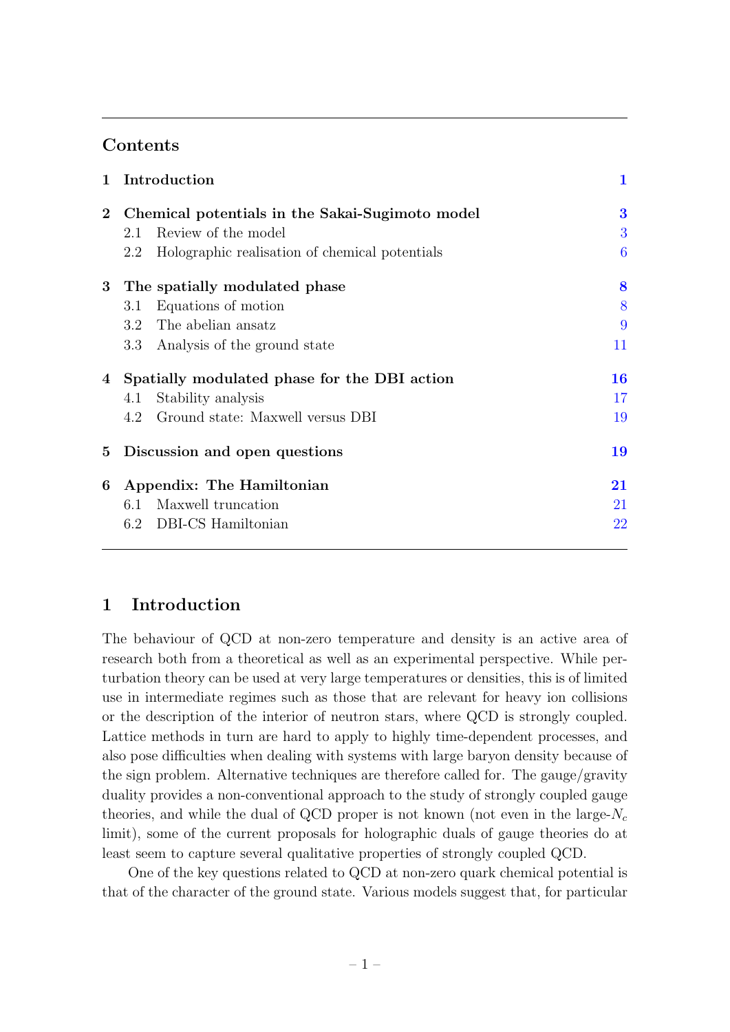## Contents

| Introduction                                          | $\mathbf 1$      |
|-------------------------------------------------------|------------------|
| Chemical potentials in the Sakai-Sugimoto model       | 3                |
| Review of the model<br>2.1                            | 3                |
| Holographic realisation of chemical potentials<br>2.2 | $\boldsymbol{6}$ |
| 3 <sup>1</sup><br>The spatially modulated phase       | 8                |
| Equations of motion<br>3.1                            | 8                |
| 3.2 The abelian ansatz                                | 9                |
| Analysis of the ground state<br>$3.3\phantom{0}$      | 11               |
| Spatially modulated phase for the DBI action          | 16               |
| Stability analysis<br>4.1                             | 17               |
| Ground state: Maxwell versus DBI<br>4.2               | 19               |
| Discussion and open questions                         | 19               |
| Appendix: The Hamiltonian                             | 21               |
| Maxwell truncation<br>6.1                             | 21               |
| DBI-CS Hamiltonian<br>6.2                             | 22               |
|                                                       |                  |

## <span id="page-2-0"></span>1 Introduction

The behaviour of QCD at non-zero temperature and density is an active area of research both from a theoretical as well as an experimental perspective. While perturbation theory can be used at very large temperatures or densities, this is of limited use in intermediate regimes such as those that are relevant for heavy ion collisions or the description of the interior of neutron stars, where QCD is strongly coupled. Lattice methods in turn are hard to apply to highly time-dependent processes, and also pose difficulties when dealing with systems with large baryon density because of the sign problem. Alternative techniques are therefore called for. The gauge/gravity duality provides a non-conventional approach to the study of strongly coupled gauge theories, and while the dual of QCD proper is not known (not even in the large- $N_c$ limit), some of the current proposals for holographic duals of gauge theories do at least seem to capture several qualitative properties of strongly coupled QCD.

One of the key questions related to QCD at non-zero quark chemical potential is that of the character of the ground state. Various models suggest that, for particular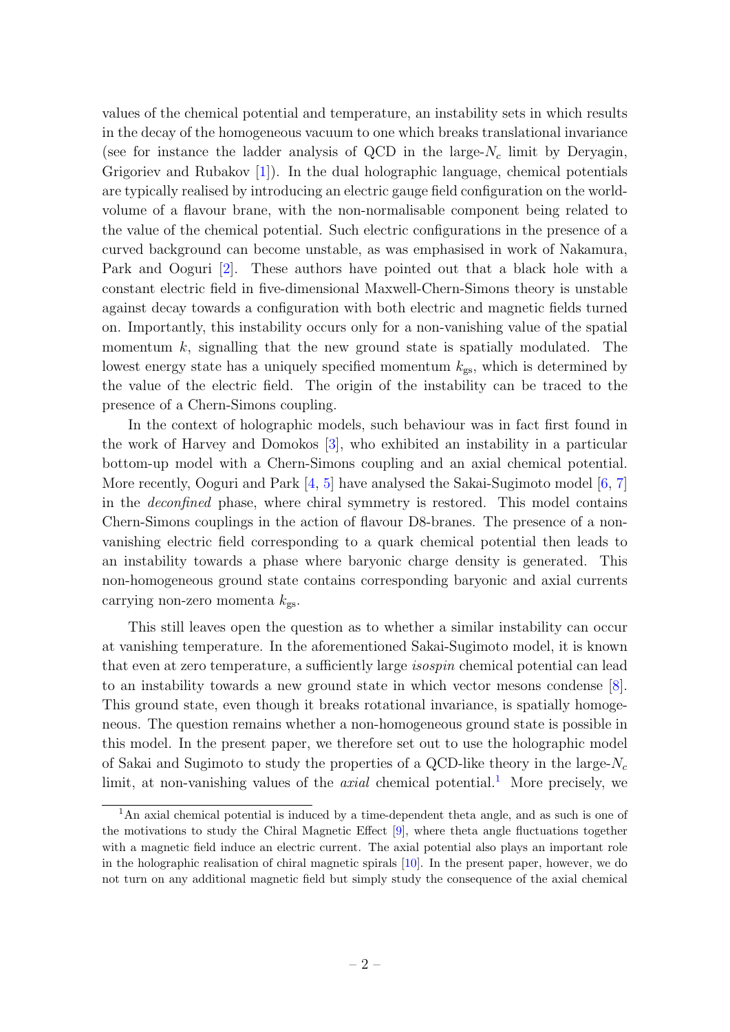values of the chemical potential and temperature, an instability sets in which results in the decay of the homogeneous vacuum to one which breaks translational invariance (see for instance the ladder analysis of QCD in the large- $N_c$  limit by Deryagin, Grigoriev and Rubakov [\[1\]](#page-24-0)). In the dual holographic language, chemical potentials are typically realised by introducing an electric gauge field configuration on the worldvolume of a flavour brane, with the non-normalisable component being related to the value of the chemical potential. Such electric configurations in the presence of a curved background can become unstable, as was emphasised in work of Nakamura, Park and Ooguri [\[2\]](#page-24-1). These authors have pointed out that a black hole with a constant electric field in five-dimensional Maxwell-Chern-Simons theory is unstable against decay towards a configuration with both electric and magnetic fields turned on. Importantly, this instability occurs only for a non-vanishing value of the spatial momentum  $k$ , signalling that the new ground state is spatially modulated. The lowest energy state has a uniquely specified momentum  $k_{gs}$ , which is determined by the value of the electric field. The origin of the instability can be traced to the presence of a Chern-Simons coupling.

In the context of holographic models, such behaviour was in fact first found in the work of Harvey and Domokos [\[3\]](#page-24-2), who exhibited an instability in a particular bottom-up model with a Chern-Simons coupling and an axial chemical potential. More recently, Ooguri and Park  $[4, 5]$  $[4, 5]$  $[4, 5]$  have analysed the Sakai-Sugimoto model  $[6, 7]$  $[6, 7]$  $[6, 7]$ in the deconfined phase, where chiral symmetry is restored. This model contains Chern-Simons couplings in the action of flavour D8-branes. The presence of a nonvanishing electric field corresponding to a quark chemical potential then leads to an instability towards a phase where baryonic charge density is generated. This non-homogeneous ground state contains corresponding baryonic and axial currents carrying non-zero momenta  $k_{\rm gs}$ .

This still leaves open the question as to whether a similar instability can occur at vanishing temperature. In the aforementioned Sakai-Sugimoto model, it is known that even at zero temperature, a sufficiently large *isospin* chemical potential can lead to an instability towards a new ground state in which vector mesons condense [\[8\]](#page-24-7). This ground state, even though it breaks rotational invariance, is spatially homogeneous. The question remains whether a non-homogeneous ground state is possible in this model. In the present paper, we therefore set out to use the holographic model of Sakai and Sugimoto to study the properties of a QCD-like theory in the large- $N_c$ limit, at non-vanishing values of the *axial* chemical potential.<sup>[1](#page-3-0)</sup> More precisely, we

<span id="page-3-0"></span><sup>&</sup>lt;sup>1</sup>An axial chemical potential is induced by a time-dependent theta angle, and as such is one of the motivations to study the Chiral Magnetic Effect [\[9\]](#page-24-8), where theta angle fluctuations together with a magnetic field induce an electric current. The axial potential also plays an important role in the holographic realisation of chiral magnetic spirals [\[10\]](#page-24-9). In the present paper, however, we do not turn on any additional magnetic field but simply study the consequence of the axial chemical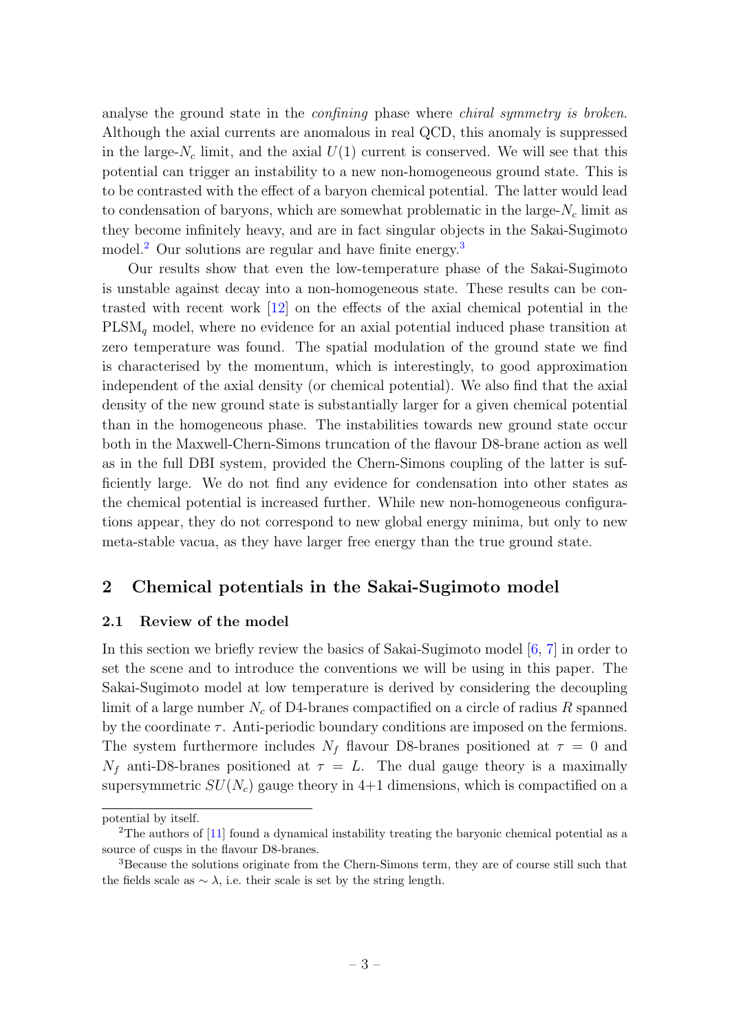analyse the ground state in the *confining* phase where *chiral symmetry is broken*. Although the axial currents are anomalous in real QCD, this anomaly is suppressed in the large- $N_c$  limit, and the axial  $U(1)$  current is conserved. We will see that this potential can trigger an instability to a new non-homogeneous ground state. This is to be contrasted with the effect of a baryon chemical potential. The latter would lead to condensation of baryons, which are somewhat problematic in the large- $N_c$  limit as they become infinitely heavy, and are in fact singular objects in the Sakai-Sugimoto model.<sup>[2](#page-4-2)</sup> Our solutions are regular and have finite energy.<sup>[3](#page-4-3)</sup>

Our results show that even the low-temperature phase of the Sakai-Sugimoto is unstable against decay into a non-homogeneous state. These results can be contrasted with recent work [\[12\]](#page-24-10) on the effects of the axial chemical potential in the  $PLSM_q$  model, where no evidence for an axial potential induced phase transition at zero temperature was found. The spatial modulation of the ground state we find is characterised by the momentum, which is interestingly, to good approximation independent of the axial density (or chemical potential). We also find that the axial density of the new ground state is substantially larger for a given chemical potential than in the homogeneous phase. The instabilities towards new ground state occur both in the Maxwell-Chern-Simons truncation of the flavour D8-brane action as well as in the full DBI system, provided the Chern-Simons coupling of the latter is sufficiently large. We do not find any evidence for condensation into other states as the chemical potential is increased further. While new non-homogeneous configurations appear, they do not correspond to new global energy minima, but only to new meta-stable vacua, as they have larger free energy than the true ground state.

## <span id="page-4-0"></span>2 Chemical potentials in the Sakai-Sugimoto model

#### <span id="page-4-1"></span>2.1 Review of the model

In this section we briefly review the basics of Sakai-Sugimoto model [\[6,](#page-24-5) [7\]](#page-24-6) in order to set the scene and to introduce the conventions we will be using in this paper. The Sakai-Sugimoto model at low temperature is derived by considering the decoupling limit of a large number  $N_c$  of D4-branes compactified on a circle of radius R spanned by the coordinate  $\tau$ . Anti-periodic boundary conditions are imposed on the fermions. The system furthermore includes  $N_f$  flavour D8-branes positioned at  $\tau = 0$  and  $N_f$  anti-D8-branes positioned at  $\tau = L$ . The dual gauge theory is a maximally supersymmetric  $SU(N_c)$  gauge theory in 4+1 dimensions, which is compactified on a

potential by itself.

<span id="page-4-2"></span><sup>2</sup>The authors of [\[11\]](#page-24-11) found a dynamical instability treating the baryonic chemical potential as a source of cusps in the flavour D8-branes.

<span id="page-4-3"></span><sup>3</sup>Because the solutions originate from the Chern-Simons term, they are of course still such that the fields scale as  $\sim \lambda$ , i.e. their scale is set by the string length.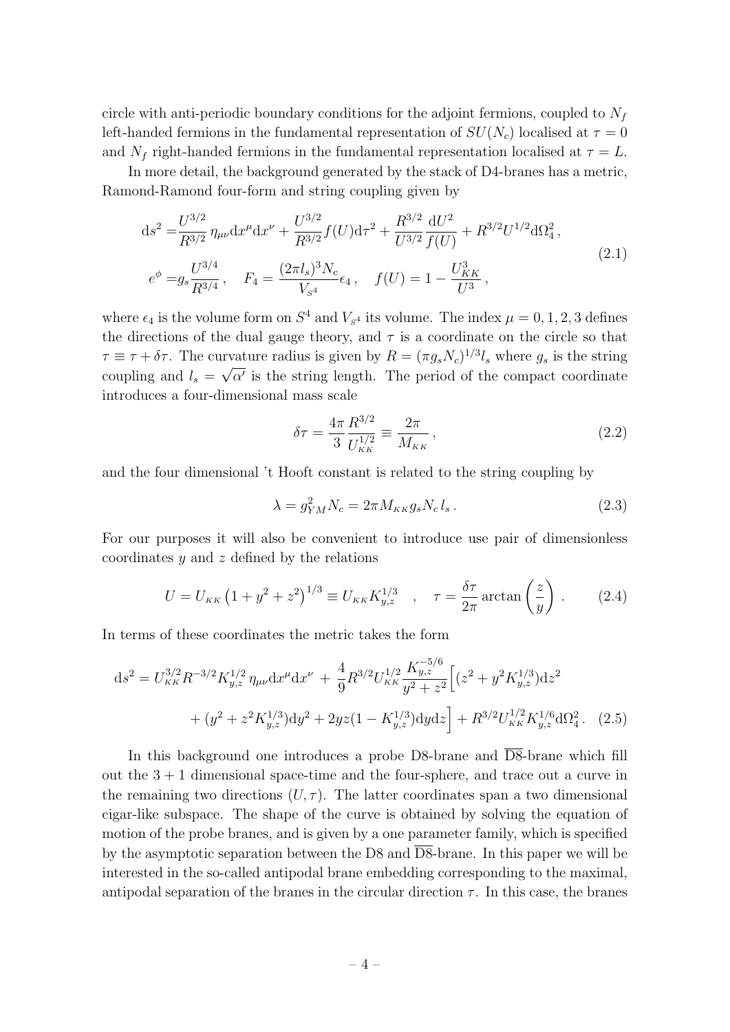circle with anti-periodic boundary conditions for the adjoint fermions, coupled to  $N_f$ left-handed fermions in the fundamental representation of  $SU(N_c)$  localised at  $\tau = 0$ and  $N_f$  right-handed fermions in the fundamental representation localised at  $\tau = L$ .

In more detail, the background generated by the stack of D4-branes has a metric, Ramond-Ramond four-form and string coupling given by

<span id="page-5-0"></span>
$$
ds^{2} = \frac{U^{3/2}}{R^{3/2}} \eta_{\mu\nu} dx^{\mu} dx^{\nu} + \frac{U^{3/2}}{R^{3/2}} f(U) d\tau^{2} + \frac{R^{3/2}}{U^{3/2}} \frac{dU^{2}}{f(U)} + R^{3/2} U^{1/2} d\Omega_{4}^{2},
$$
  
\n
$$
e^{\phi} = g_{s} \frac{U^{3/4}}{R^{3/4}}, \quad F_{4} = \frac{(2\pi l_{s})^{3} N_{c}}{V_{s^{4}}} \epsilon_{4}, \quad f(U) = 1 - \frac{U_{KK}^{3}}{U^{3}},
$$
\n(2.1)

where  $\epsilon_4$  is the volume form on  $S^4$  and  $V_{S^4}$  its volume. The index  $\mu = 0, 1, 2, 3$  defines the directions of the dual gauge theory, and  $\tau$  is a coordinate on the circle so that  $\tau \equiv \tau + \delta \tau$ . The curvature radius is given by  $R = (\pi g_s N_c)^{1/3} l_s$  where  $g_s$  is the string coupling and  $l_s = \sqrt{\alpha'}$  is the string length. The period of the compact coordinate introduces a four-dimensional mass scale

<span id="page-5-1"></span>
$$
\delta \tau = \frac{4\pi}{3} \frac{R^{3/2}}{U_{KK}^{1/2}} \equiv \frac{2\pi}{M_{KK}},
$$
\n(2.2)

and the four dimensional 't Hooft constant is related to the string coupling by

$$
\lambda = g_{YM}^2 N_c = 2\pi M_{KK} g_s N_c l_s. \qquad (2.3)
$$

For our purposes it will also be convenient to introduce use pair of dimensionless coordinates  $y$  and  $z$  defined by the relations

$$
U = U_{\kappa\kappa} \left( 1 + y^2 + z^2 \right)^{1/3} \equiv U_{\kappa\kappa} K_{y,z}^{1/3} \quad , \quad \tau = \frac{\delta \tau}{2\pi} \arctan\left(\frac{z}{y}\right) \,. \tag{2.4}
$$

In terms of these coordinates the metric takes the form

$$
ds^{2} = U_{KK}^{3/2} R^{-3/2} K_{y,z}^{1/2} \eta_{\mu\nu} dx^{\mu} dx^{\nu} + \frac{4}{9} R^{3/2} U_{KK}^{1/2} \frac{K_{y,z}^{-5/6}}{y^{2} + z^{2}} \Big[ (z^{2} + y^{2} K_{y,z}^{1/3}) dz^{2} + (y^{2} + z^{2} K_{y,z}^{1/3}) dy^{2} + 2yz(1 - K_{y,z}^{1/3}) dydz \Big] + R^{3/2} U_{KK}^{1/2} K_{y,z}^{1/6} d\Omega_{4}^{2}.
$$
 (2.5)

In this background one introduces a probe D8-brane and  $\overline{DS}$ -brane which fill out the  $3 + 1$  dimensional space-time and the four-sphere, and trace out a curve in the remaining two directions  $(U, \tau)$ . The latter coordinates span a two dimensional cigar-like subspace. The shape of the curve is obtained by solving the equation of motion of the probe branes, and is given by a one parameter family, which is specified by the asymptotic separation between the D8 and  $\overline{DS}$ -brane. In this paper we will be interested in the so-called antipodal brane embedding corresponding to the maximal, antipodal separation of the branes in the circular direction  $\tau$ . In this case, the branes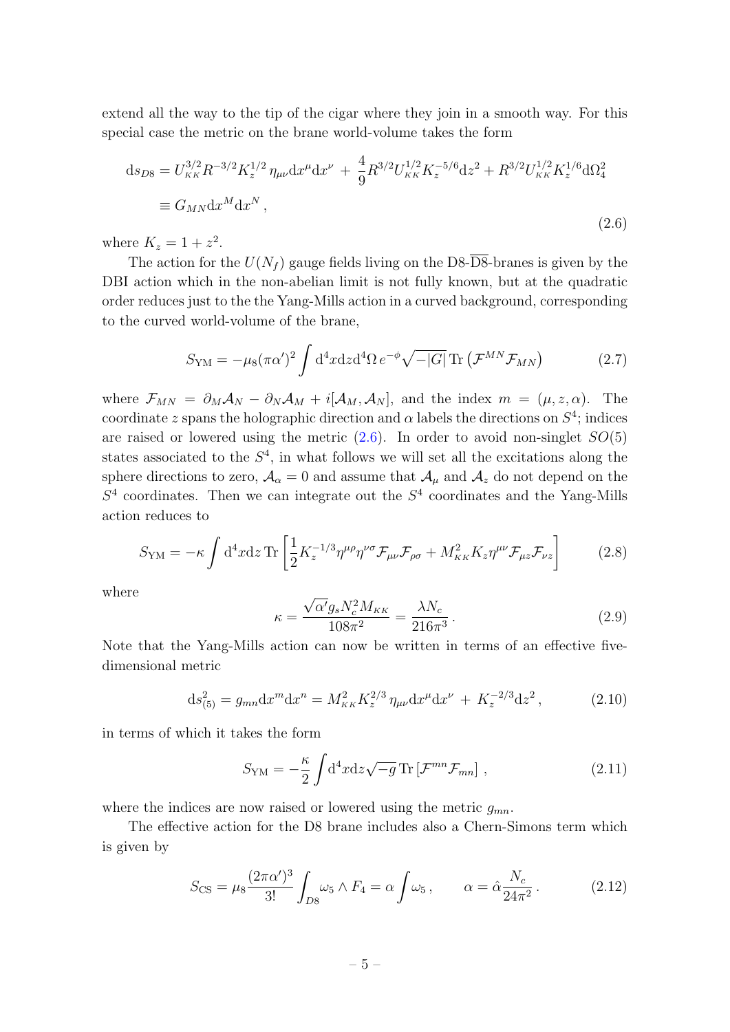extend all the way to the tip of the cigar where they join in a smooth way. For this special case the metric on the brane world-volume takes the form

<span id="page-6-0"></span>
$$
ds_{D8} = U_{KK}^{3/2} R^{-3/2} K_z^{1/2} \eta_{\mu\nu} dx^{\mu} dx^{\nu} + \frac{4}{9} R^{3/2} U_{KK}^{1/2} K_z^{-5/6} dz^2 + R^{3/2} U_{KK}^{1/2} K_z^{1/6} d\Omega_4^2
$$
  
\n
$$
\equiv G_{MN} dx^M dx^N ,
$$
\n(2.6)

where  $K_z = 1 + z^2$ .

The action for the  $U(N_f)$  gauge fields living on the D8- $\overline{DS}$ -branes is given by the DBI action which in the non-abelian limit is not fully known, but at the quadratic order reduces just to the the Yang-Mills action in a curved background, corresponding to the curved world-volume of the brane,

$$
S_{\rm YM} = -\mu_8(\pi \alpha')^2 \int d^4x dz d^4\Omega \, e^{-\phi} \sqrt{-|G|} \operatorname{Tr} \left( \mathcal{F}^{MN} \mathcal{F}_{MN} \right) \tag{2.7}
$$

where  $\mathcal{F}_{MN} = \partial_M \mathcal{A}_N - \partial_N \mathcal{A}_M + i[\mathcal{A}_M, \mathcal{A}_N]$ , and the index  $m = (\mu, z, \alpha)$ . The coordinate z spans the holographic direction and  $\alpha$  labels the directions on  $S^4$ ; indices are raised or lowered using the metric  $(2.6)$ . In order to avoid non-singlet  $SO(5)$ states associated to the  $S<sup>4</sup>$ , in what follows we will set all the excitations along the sphere directions to zero,  $A_{\alpha} = 0$  and assume that  $A_{\mu}$  and  $A_{z}$  do not depend on the  $S<sup>4</sup>$  coordinates. Then we can integrate out the  $S<sup>4</sup>$  coordinates and the Yang-Mills action reduces to

$$
S_{\text{YM}} = -\kappa \int \mathrm{d}^4 x \mathrm{d}z \,\mathrm{Tr} \left[ \frac{1}{2} K_z^{-1/3} \eta^{\mu \rho} \eta^{\nu \sigma} \mathcal{F}_{\mu \nu} \mathcal{F}_{\rho \sigma} + M_{\kappa \kappa}^2 K_z \eta^{\mu \nu} \mathcal{F}_{\mu z} \mathcal{F}_{\nu z} \right] \tag{2.8}
$$

where

$$
\kappa = \frac{\sqrt{\alpha'} g_s N_c^2 M_{KK}}{108\pi^2} = \frac{\lambda N_c}{216\pi^3} \,. \tag{2.9}
$$

Note that the Yang-Mills action can now be written in terms of an effective fivedimensional metric

<span id="page-6-2"></span>
$$
ds_{(5)}^2 = g_{mn} dx^m dx^n = M_{KK}^2 K_z^{2/3} \eta_{\mu\nu} dx^\mu dx^\nu + K_z^{-2/3} dz^2, \qquad (2.10)
$$

in terms of which it takes the form

$$
S_{\text{YM}} = -\frac{\kappa}{2} \int d^4 x dz \sqrt{-g} \, \text{Tr} \left[ \mathcal{F}^{mn} \mathcal{F}_{mn} \right] \,, \tag{2.11}
$$

where the indices are now raised or lowered using the metric  $g_{mn}$ .

The effective action for the D8 brane includes also a Chern-Simons term which is given by

<span id="page-6-1"></span>
$$
S_{\text{CS}} = \mu_8 \frac{(2\pi\alpha')^3}{3!} \int_{D8} \omega_5 \wedge F_4 = \alpha \int \omega_5, \qquad \alpha = \hat{\alpha} \frac{N_c}{24\pi^2} \,. \tag{2.12}
$$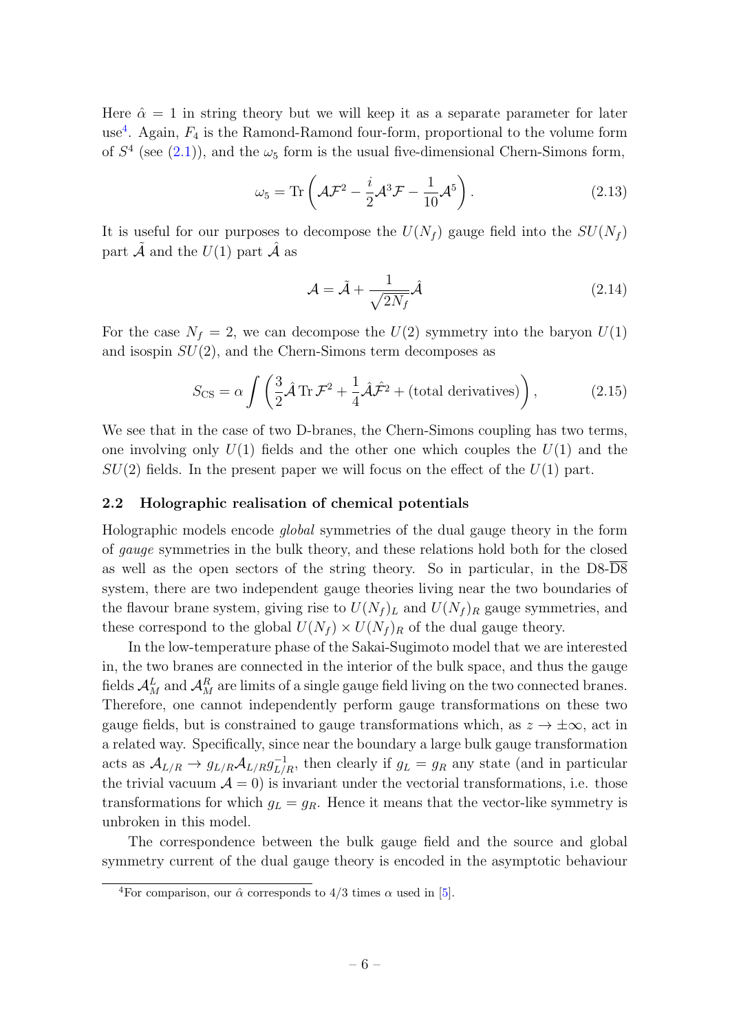Here  $\hat{\alpha} = 1$  in string theory but we will keep it as a separate parameter for later use<sup>[4](#page-7-1)</sup>. Again,  $F_4$  is the Ramond-Ramond four-form, proportional to the volume form of  $S<sup>4</sup>$  (see [\(2.1\)](#page-5-0)), and the  $\omega_5$  form is the usual five-dimensional Chern-Simons form,

$$
\omega_5 = \text{Tr}\left(\mathcal{A}\mathcal{F}^2 - \frac{i}{2}\mathcal{A}^3\mathcal{F} - \frac{1}{10}\mathcal{A}^5\right). \tag{2.13}
$$

It is useful for our purposes to decompose the  $U(N_f)$  gauge field into the  $SU(N_f)$ part  $\mathcal A$  and the  $U(1)$  part  $\mathcal A$  as

$$
\mathcal{A} = \tilde{\mathcal{A}} + \frac{1}{\sqrt{2N_f}} \hat{\mathcal{A}} \tag{2.14}
$$

For the case  $N_f = 2$ , we can decompose the  $U(2)$  symmetry into the baryon  $U(1)$ and isospin  $SU(2)$ , and the Chern-Simons term decomposes as

$$
S_{\text{CS}} = \alpha \int \left( \frac{3}{2} \hat{\mathcal{A}} \operatorname{Tr} \mathcal{F}^2 + \frac{1}{4} \hat{\mathcal{A}} \hat{\mathcal{F}}^2 + \text{(total derivatives)} \right), \tag{2.15}
$$

We see that in the case of two D-branes, the Chern-Simons coupling has two terms, one involving only  $U(1)$  fields and the other one which couples the  $U(1)$  and the  $SU(2)$  fields. In the present paper we will focus on the effect of the  $U(1)$  part.

#### <span id="page-7-0"></span>2.2 Holographic realisation of chemical potentials

Holographic models encode global symmetries of the dual gauge theory in the form of gauge symmetries in the bulk theory, and these relations hold both for the closed as well as the open sectors of the string theory. So in particular, in the  $D8-\overline{D8}$ system, there are two independent gauge theories living near the two boundaries of the flavour brane system, giving rise to  $U(N_f)_L$  and  $U(N_f)_R$  gauge symmetries, and these correspond to the global  $U(N_f) \times U(N_f)_R$  of the dual gauge theory.

In the low-temperature phase of the Sakai-Sugimoto model that we are interested in, the two branes are connected in the interior of the bulk space, and thus the gauge fields  ${\cal A}^L_M$  and  ${\cal A}^R_M$  are limits of a single gauge field living on the two connected branes. Therefore, one cannot independently perform gauge transformations on these two gauge fields, but is constrained to gauge transformations which, as  $z \to \pm \infty$ , act in a related way. Specifically, since near the boundary a large bulk gauge transformation acts as  $A_{L/R} \to g_{L/R} A_{L/R} g_{L/R}^{-1}$ , then clearly if  $g_L = g_R$  any state (and in particular the trivial vacuum  $\mathcal{A} = 0$ ) is invariant under the vectorial transformations, i.e. those transformations for which  $g_L = g_R$ . Hence it means that the vector-like symmetry is unbroken in this model.

The correspondence between the bulk gauge field and the source and global symmetry current of the dual gauge theory is encoded in the asymptotic behaviour

<span id="page-7-1"></span><sup>&</sup>lt;sup>4</sup>For comparison, our  $\hat{\alpha}$  corresponds to 4/3 times  $\alpha$  used in [\[5\]](#page-24-4).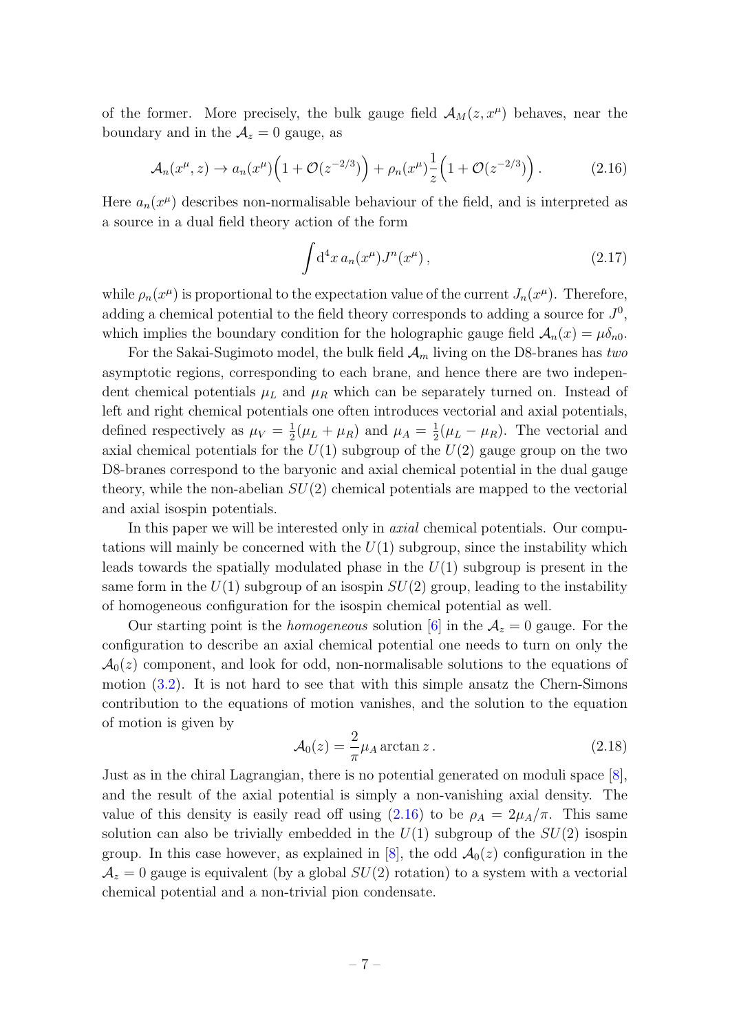of the former. More precisely, the bulk gauge field  $\mathcal{A}_M(z, x^{\mu})$  behaves, near the boundary and in the  $A_z = 0$  gauge, as

<span id="page-8-0"></span>
$$
\mathcal{A}_n(x^{\mu}, z) \to a_n(x^{\mu}) \Big( 1 + \mathcal{O}(z^{-2/3}) \Big) + \rho_n(x^{\mu}) \frac{1}{z} \Big( 1 + \mathcal{O}(z^{-2/3}) \Big). \tag{2.16}
$$

Here  $a_n(x^{\mu})$  describes non-normalisable behaviour of the field, and is interpreted as a source in a dual field theory action of the form

$$
\int d^4x \, a_n(x^\mu) J^n(x^\mu) \,, \tag{2.17}
$$

while  $\rho_n(x^{\mu})$  is proportional to the expectation value of the current  $J_n(x^{\mu})$ . Therefore, adding a chemical potential to the field theory corresponds to adding a source for  $J^0$ , which implies the boundary condition for the holographic gauge field  $A_n(x) = \mu \delta_{n0}$ .

For the Sakai-Sugimoto model, the bulk field  $\mathcal{A}_m$  living on the D8-branes has two asymptotic regions, corresponding to each brane, and hence there are two independent chemical potentials  $\mu_L$  and  $\mu_R$  which can be separately turned on. Instead of left and right chemical potentials one often introduces vectorial and axial potentials, defined respectively as  $\mu_V = \frac{1}{2}$  $\frac{1}{2}(\mu_L + \mu_R)$  and  $\mu_A = \frac{1}{2}$  $\frac{1}{2}(\mu_L - \mu_R)$ . The vectorial and axial chemical potentials for the  $U(1)$  subgroup of the  $U(2)$  gauge group on the two D8-branes correspond to the baryonic and axial chemical potential in the dual gauge theory, while the non-abelian  $SU(2)$  chemical potentials are mapped to the vectorial and axial isospin potentials.

In this paper we will be interested only in *axial* chemical potentials. Our computations will mainly be concerned with the  $U(1)$  subgroup, since the instability which leads towards the spatially modulated phase in the  $U(1)$  subgroup is present in the same form in the  $U(1)$  subgroup of an isospin  $SU(2)$  group, leading to the instability of homogeneous configuration for the isospin chemical potential as well.

Our starting point is the *homogeneous* solution [\[6\]](#page-24-5) in the  $A_z = 0$  gauge. For the configuration to describe an axial chemical potential one needs to turn on only the  $\mathcal{A}_0(z)$  component, and look for odd, non-normalisable solutions to the equations of motion [\(3.2\)](#page-9-2). It is not hard to see that with this simple ansatz the Chern-Simons contribution to the equations of motion vanishes, and the solution to the equation of motion is given by

<span id="page-8-1"></span>
$$
\mathcal{A}_0(z) = \frac{2}{\pi} \mu_A \arctan z \,. \tag{2.18}
$$

Just as in the chiral Lagrangian, there is no potential generated on moduli space [\[8\]](#page-24-7), and the result of the axial potential is simply a non-vanishing axial density. The value of this density is easily read off using  $(2.16)$  to be  $\rho_A = 2\mu_A/\pi$ . This same solution can also be trivially embedded in the  $U(1)$  subgroup of the  $SU(2)$  isospin group. In this case however, as explained in [\[8\]](#page-24-7), the odd  $\mathcal{A}_0(z)$  configuration in the  $\mathcal{A}_z = 0$  gauge is equivalent (by a global  $SU(2)$  rotation) to a system with a vectorial chemical potential and a non-trivial pion condensate.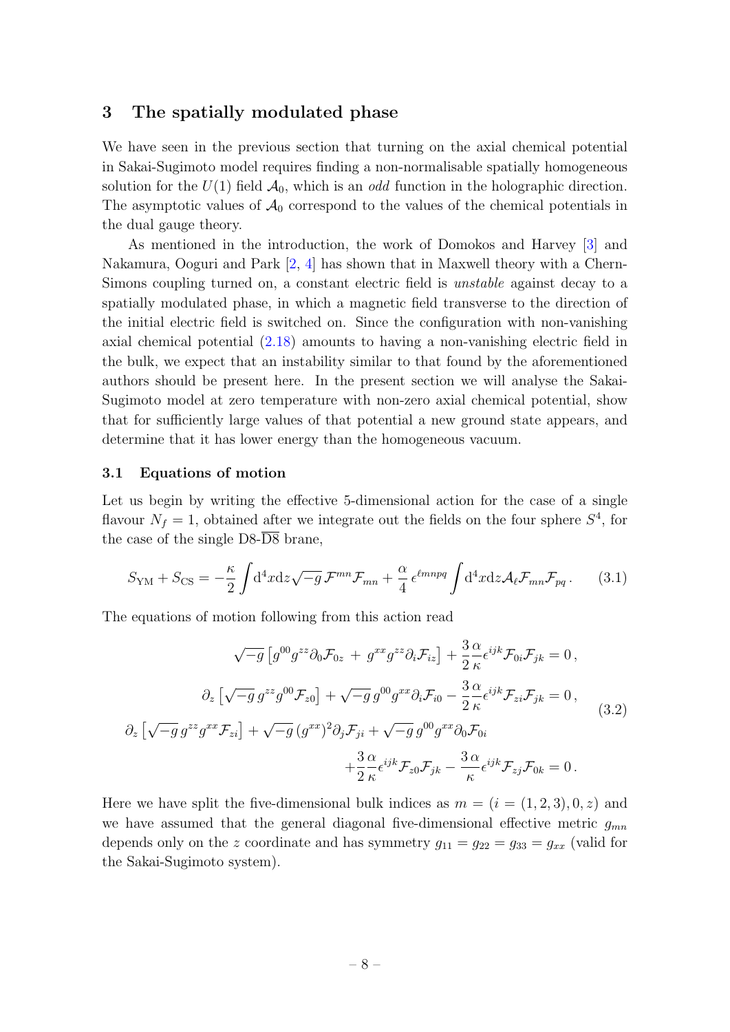## <span id="page-9-0"></span>3 The spatially modulated phase

We have seen in the previous section that turning on the axial chemical potential in Sakai-Sugimoto model requires finding a non-normalisable spatially homogeneous solution for the  $U(1)$  field  $\mathcal{A}_0$ , which is an *odd* function in the holographic direction. The asymptotic values of  $A_0$  correspond to the values of the chemical potentials in the dual gauge theory.

As mentioned in the introduction, the work of Domokos and Harvey [\[3\]](#page-24-2) and Nakamura, Ooguri and Park [\[2,](#page-24-1) [4\]](#page-24-3) has shown that in Maxwell theory with a Chern-Simons coupling turned on, a constant electric field is unstable against decay to a spatially modulated phase, in which a magnetic field transverse to the direction of the initial electric field is switched on. Since the configuration with non-vanishing axial chemical potential [\(2.18\)](#page-8-1) amounts to having a non-vanishing electric field in the bulk, we expect that an instability similar to that found by the aforementioned authors should be present here. In the present section we will analyse the Sakai-Sugimoto model at zero temperature with non-zero axial chemical potential, show that for sufficiently large values of that potential a new ground state appears, and determine that it has lower energy than the homogeneous vacuum.

#### <span id="page-9-1"></span>3.1 Equations of motion

Let us begin by writing the effective 5-dimensional action for the case of a single flavour  $N_f = 1$ , obtained after we integrate out the fields on the four sphere  $S^4$ , for the case of the single  $D8-\overline{D8}$  brane,

<span id="page-9-3"></span>
$$
S_{\text{YM}} + S_{\text{CS}} = -\frac{\kappa}{2} \int d^4x \, dz \sqrt{-g} \, \mathcal{F}^{mn} \mathcal{F}_{mn} + \frac{\alpha}{4} \, \epsilon^{\ell mnpq} \int d^4x \, dz \mathcal{A}_{\ell} \mathcal{F}_{mn} \mathcal{F}_{pq} \,. \tag{3.1}
$$

The equations of motion following from this action read

<span id="page-9-2"></span>
$$
\sqrt{-g} \left[ g^{00} g^{zz} \partial_0 \mathcal{F}_{0z} + g^{xx} g^{zz} \partial_i \mathcal{F}_{iz} \right] + \frac{3}{2} \frac{\alpha}{\kappa} \epsilon^{ijk} \mathcal{F}_{0i} \mathcal{F}_{jk} = 0,
$$
  

$$
\partial_z \left[ \sqrt{-g} \, g^{zz} g^{00} \mathcal{F}_{z0} \right] + \sqrt{-g} \, g^{00} g^{xx} \partial_i \mathcal{F}_{i0} - \frac{3}{2} \frac{\alpha}{\kappa} \epsilon^{ijk} \mathcal{F}_{zi} \mathcal{F}_{jk} = 0,
$$
  

$$
\partial_z \left[ \sqrt{-g} \, g^{zz} g^{xx} \mathcal{F}_{zi} \right] + \sqrt{-g} \, (g^{xx})^2 \partial_j \mathcal{F}_{ji} + \sqrt{-g} \, g^{00} g^{xx} \partial_0 \mathcal{F}_{0i} + \frac{3}{2} \frac{\alpha}{\kappa} \epsilon^{ijk} \mathcal{F}_{z0} \mathcal{F}_{jk} - \frac{3}{\kappa} \frac{\alpha}{\epsilon} \epsilon^{ijk} \mathcal{F}_{zj} \mathcal{F}_{0k} = 0.
$$
  
(3.2)

Here we have split the five-dimensional bulk indices as  $m = (i = (1, 2, 3), 0, z)$  and we have assumed that the general diagonal five-dimensional effective metric  $g_{mn}$ depends only on the z coordinate and has symmetry  $g_{11} = g_{22} = g_{33} = g_{xx}$  (valid for the Sakai-Sugimoto system).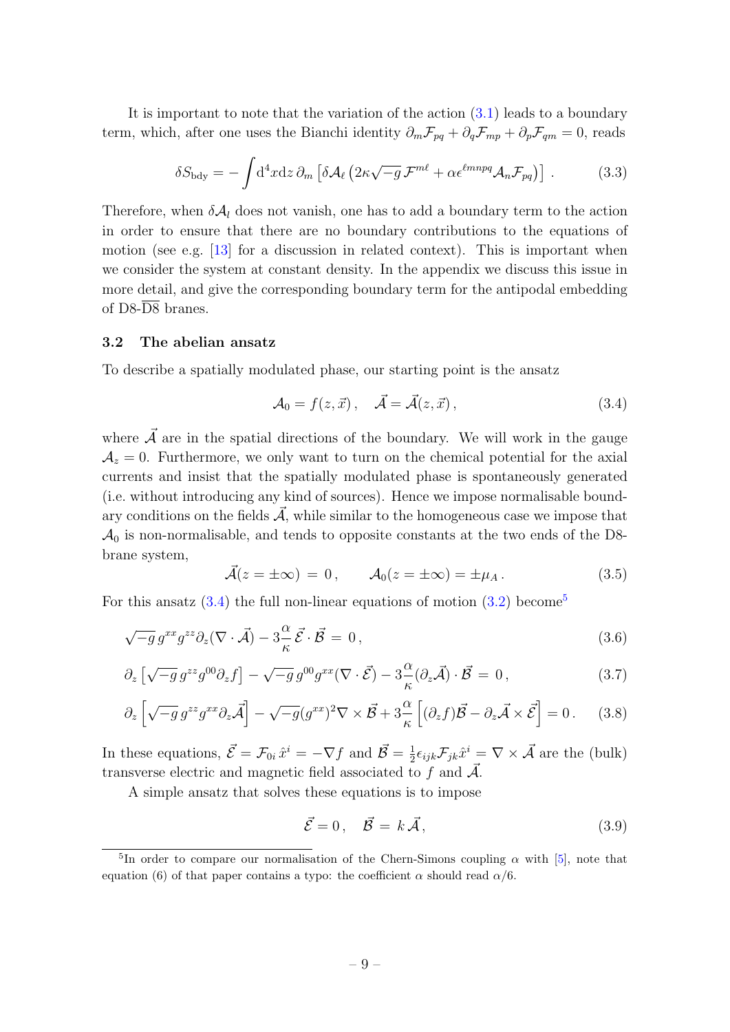It is important to note that the variation of the action  $(3.1)$  leads to a boundary term, which, after one uses the Bianchi identity  $\partial_m \mathcal{F}_{pq} + \partial_q \mathcal{F}_{mp} + \partial_p \mathcal{F}_{qm} = 0$ , reads

<span id="page-10-6"></span>
$$
\delta S_{\text{bdy}} = -\int d^4x \, dz \, \partial_m \left[ \delta \mathcal{A}_\ell \left( 2\kappa \sqrt{-g} \, \mathcal{F}^{m\ell} + \alpha \epsilon^{\ell mnpq} \mathcal{A}_n \mathcal{F}_{pq} \right) \right] \,. \tag{3.3}
$$

Therefore, when  $\delta A_l$  does not vanish, one has to add a boundary term to the action in order to ensure that there are no boundary contributions to the equations of motion (see e.g. [\[13\]](#page-24-12) for a discussion in related context). This is important when we consider the system at constant density. In the appendix we discuss this issue in more detail, and give the corresponding boundary term for the antipodal embedding of D8- $\overline{D8}$  branes.

#### <span id="page-10-0"></span>3.2 The abelian ansatz

To describe a spatially modulated phase, our starting point is the ansatz

<span id="page-10-1"></span>
$$
\mathcal{A}_0 = f(z, \vec{x}), \quad \vec{\mathcal{A}} = \vec{\mathcal{A}}(z, \vec{x}), \tag{3.4}
$$

where  $\vec{\mathcal{A}}$  are in the spatial directions of the boundary. We will work in the gauge  $A_z = 0$ . Furthermore, we only want to turn on the chemical potential for the axial currents and insist that the spatially modulated phase is spontaneously generated (i.e. without introducing any kind of sources). Hence we impose normalisable boundary conditions on the fields  $\mathcal{A}$ , while similar to the homogeneous case we impose that  $\mathcal{A}_0$  is non-normalisable, and tends to opposite constants at the two ends of the D8brane system,

$$
\vec{\mathcal{A}}(z=\pm\infty) = 0, \qquad \mathcal{A}_0(z=\pm\infty) = \pm \mu_A. \tag{3.5}
$$

For this ansatz  $(3.4)$  the full non-linear equations of motion  $(3.2)$  become<sup>[5](#page-10-2)</sup>

$$
\sqrt{-g} g^{xx} g^{zz} \partial_z (\nabla \cdot \vec{\mathcal{A}}) - 3 \frac{\alpha}{\kappa} \vec{\mathcal{E}} \cdot \vec{\mathcal{B}} = 0, \qquad (3.6)
$$

$$
\partial_z \left[ \sqrt{-g} \, g^{zz} g^{00} \partial_z f \right] - \sqrt{-g} \, g^{00} g^{xx} (\nabla \cdot \vec{\mathcal{E}}) - 3 \frac{\alpha}{\kappa} (\partial_z \vec{\mathcal{A}}) \cdot \vec{\mathcal{B}} = 0 \,, \tag{3.7}
$$

$$
\partial_z \left[ \sqrt{-g} \, g^{zz} g^{xx} \partial_z \vec{\mathcal{A}} \right] - \sqrt{-g} (g^{xx})^2 \nabla \times \vec{\mathcal{B}} + 3 \frac{\alpha}{\kappa} \left[ (\partial_z f) \vec{\mathcal{B}} - \partial_z \vec{\mathcal{A}} \times \vec{\mathcal{E}} \right] = 0 \,. \tag{3.8}
$$

In these equations,  $\vec{\mathcal{E}} = \mathcal{F}_{0i} \hat{x}^i = -\nabla f$  and  $\vec{\mathcal{B}} = \frac{1}{2}$  $\frac{1}{2} \epsilon_{ijk} \mathcal{F}_{jk} \hat{x}^i = \nabla \times \vec{\mathcal{A}}$  are the (bulk) transverse electric and magnetic field associated to f and  $\vec{\mathcal{A}}$ .

A simple ansatz that solves these equations is to impose

<span id="page-10-5"></span><span id="page-10-4"></span><span id="page-10-3"></span>
$$
\vec{\mathcal{E}} = 0 \,, \quad \vec{\mathcal{B}} = k \vec{\mathcal{A}} \,, \tag{3.9}
$$

<span id="page-10-2"></span><sup>&</sup>lt;sup>5</sup>In order to compare our normalisation of the Chern-Simons coupling  $\alpha$  with [\[5\]](#page-24-4), note that equation (6) of that paper contains a typo: the coefficient  $\alpha$  should read  $\alpha/6$ .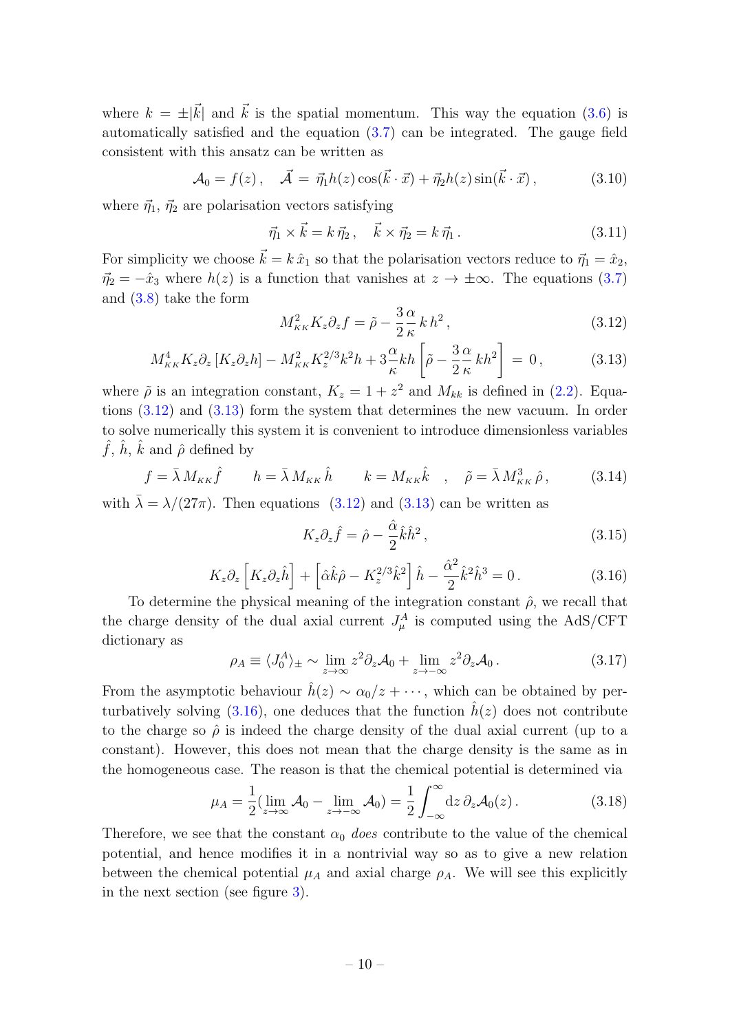where  $k = \pm |\vec{k}|$  and  $\vec{k}$  is the spatial momentum. This way the equation [\(3.6\)](#page-10-3) is automatically satisfied and the equation [\(3.7\)](#page-10-4) can be integrated. The gauge field consistent with this ansatz can be written as

<span id="page-11-3"></span>
$$
\mathcal{A}_0 = f(z), \quad \vec{\mathcal{A}} = \vec{\eta}_1 h(z) \cos(\vec{k} \cdot \vec{x}) + \vec{\eta}_2 h(z) \sin(\vec{k} \cdot \vec{x}), \quad (3.10)
$$

where  $\vec{\eta}_1$ ,  $\vec{\eta}_2$  are polarisation vectors satisfying

$$
\vec{\eta}_1 \times \vec{k} = k \, \vec{\eta}_2 \,, \quad \vec{k} \times \vec{\eta}_2 = k \, \vec{\eta}_1 \,. \tag{3.11}
$$

For simplicity we choose  $\vec{k} = k \hat{x}_1$  so that the polarisation vectors reduce to  $\vec{\eta}_1 = \hat{x}_2$ ,  $\vec{\eta}_2 = -\hat{x}_3$  where  $h(z)$  is a function that vanishes at  $z \to \pm \infty$ . The equations [\(3.7\)](#page-10-4) and [\(3.8\)](#page-10-5) take the form

<span id="page-11-0"></span>
$$
M_{KK}^2 K_z \partial_z f = \tilde{\rho} - \frac{3}{2} \frac{\alpha}{\kappa} k h^2, \qquad (3.12)
$$

<span id="page-11-1"></span>
$$
M_{KK}^4 K_z \partial_z \left[ K_z \partial_z h \right] - M_{KK}^2 K_z^{2/3} k^2 h + 3 \frac{\alpha}{\kappa} k h \left[ \tilde{\rho} - \frac{3}{2} \frac{\alpha}{\kappa} k h^2 \right] = 0, \qquad (3.13)
$$

where  $\tilde{\rho}$  is an integration constant,  $K_z = 1 + z^2$  and  $M_{kk}$  is defined in [\(2.2\)](#page-5-1). Equations [\(3.12\)](#page-11-0) and [\(3.13\)](#page-11-1) form the system that determines the new vacuum. In order to solve numerically this system it is convenient to introduce dimensionless variables  $\hat{f}, \hat{h}, \hat{k}$  and  $\hat{\rho}$  defined by

<span id="page-11-4"></span>
$$
f = \bar{\lambda} M_{KK} \hat{f} \qquad h = \bar{\lambda} M_{KK} \hat{h} \qquad k = M_{KK} \hat{k} \quad , \quad \tilde{\rho} = \bar{\lambda} M_{KK}^3 \hat{\rho} , \qquad (3.14)
$$

with  $\bar{\lambda} = \lambda/(27\pi)$ . Then equations [\(3.12\)](#page-11-0) and [\(3.13\)](#page-11-1) can be written as

$$
K_z \partial_z \hat{f} = \hat{\rho} - \frac{\hat{\alpha}}{2} \hat{k} \hat{h}^2, \qquad (3.15)
$$

<span id="page-11-2"></span>
$$
K_z \partial_z \left[ K_z \partial_z \hat{h} \right] + \left[ \hat{\alpha} \hat{k} \hat{\rho} - K_z^{2/3} \hat{k}^2 \right] \hat{h} - \frac{\hat{\alpha}^2}{2} \hat{k}^2 \hat{h}^3 = 0 \,. \tag{3.16}
$$

To determine the physical meaning of the integration constant  $\hat{\rho}$ , we recall that the charge density of the dual axial current  $J^A_\mu$  is computed using the AdS/CFT dictionary as

$$
\rho_A \equiv \langle J_0^A \rangle_{\pm} \sim \lim_{z \to \infty} z^2 \partial_z \mathcal{A}_0 + \lim_{z \to -\infty} z^2 \partial_z \mathcal{A}_0. \tag{3.17}
$$

From the asymptotic behaviour  $\hat{h}(z) \sim \alpha_0/z + \cdots$ , which can be obtained by perturbatively solving  $(3.16)$ , one deduces that the function  $h(z)$  does not contribute to the charge so  $\hat{\rho}$  is indeed the charge density of the dual axial current (up to a constant). However, this does not mean that the charge density is the same as in the homogeneous case. The reason is that the chemical potential is determined via

$$
\mu_A = \frac{1}{2} (\lim_{z \to \infty} \mathcal{A}_0 - \lim_{z \to -\infty} \mathcal{A}_0) = \frac{1}{2} \int_{-\infty}^{\infty} dz \, \partial_z \mathcal{A}_0(z) \,. \tag{3.18}
$$

Therefore, we see that the constant  $\alpha_0$  does contribute to the value of the chemical potential, and hence modifies it in a nontrivial way so as to give a new relation between the chemical potential  $\mu_A$  and axial charge  $\rho_A$ . We will see this explicitly in the next section (see figure [3\)](#page-14-0).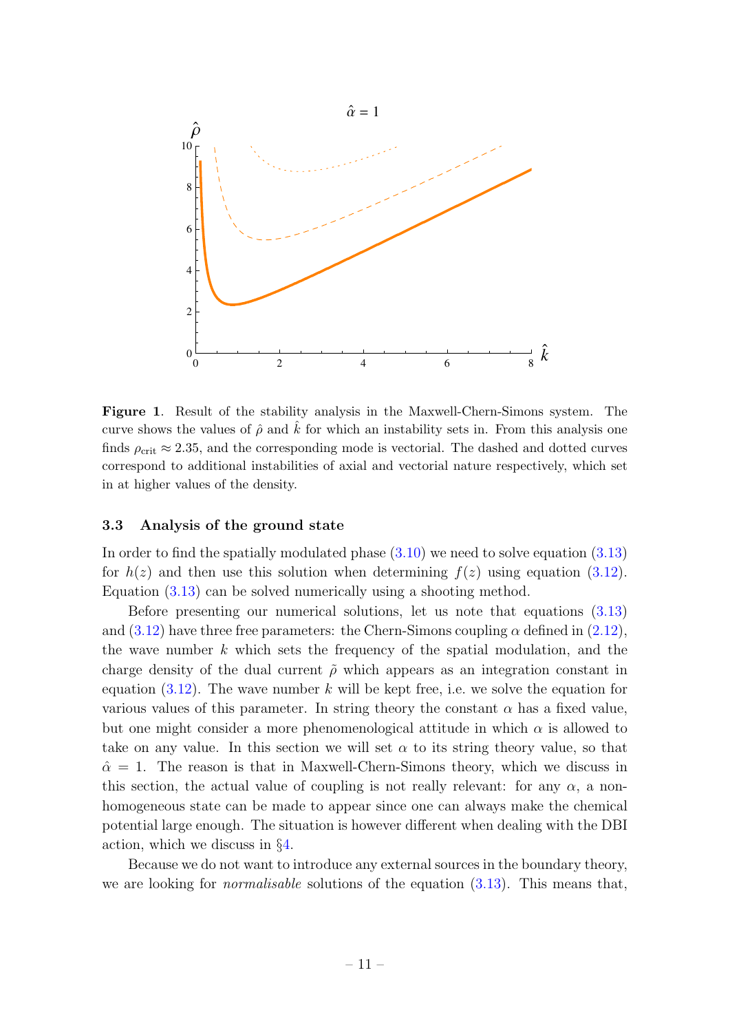

<span id="page-12-1"></span>Figure 1. Result of the stability analysis in the Maxwell-Chern-Simons system. The curve shows the values of  $\hat{\rho}$  and k for which an instability sets in. From this analysis one finds  $\rho_{\rm crit} \approx 2.35$ , and the corresponding mode is vectorial. The dashed and dotted curves correspond to additional instabilities of axial and vectorial nature respectively, which set in at higher values of the density.

#### <span id="page-12-0"></span>3.3 Analysis of the ground state

In order to find the spatially modulated phase [\(3.10\)](#page-11-3) we need to solve equation [\(3.13\)](#page-11-1) for  $h(z)$  and then use this solution when determining  $f(z)$  using equation [\(3.12\)](#page-11-0). Equation [\(3.13\)](#page-11-1) can be solved numerically using a shooting method.

Before presenting our numerical solutions, let us note that equations [\(3.13\)](#page-11-1) and  $(3.12)$  have three free parameters: the Chern-Simons coupling  $\alpha$  defined in  $(2.12)$ , the wave number  $k$  which sets the frequency of the spatial modulation, and the charge density of the dual current  $\tilde{\rho}$  which appears as an integration constant in equation  $(3.12)$ . The wave number k will be kept free, i.e. we solve the equation for various values of this parameter. In string theory the constant  $\alpha$  has a fixed value, but one might consider a more phenomenological attitude in which  $\alpha$  is allowed to take on any value. In this section we will set  $\alpha$  to its string theory value, so that  $\hat{\alpha} = 1$ . The reason is that in Maxwell-Chern-Simons theory, which we discuss in this section, the actual value of coupling is not really relevant: for any  $\alpha$ , a nonhomogeneous state can be made to appear since one can always make the chemical potential large enough. The situation is however different when dealing with the DBI action, which we discuss in §[4.](#page-17-0)

Because we do not want to introduce any external sources in the boundary theory, we are looking for *normalisable* solutions of the equation  $(3.13)$ . This means that,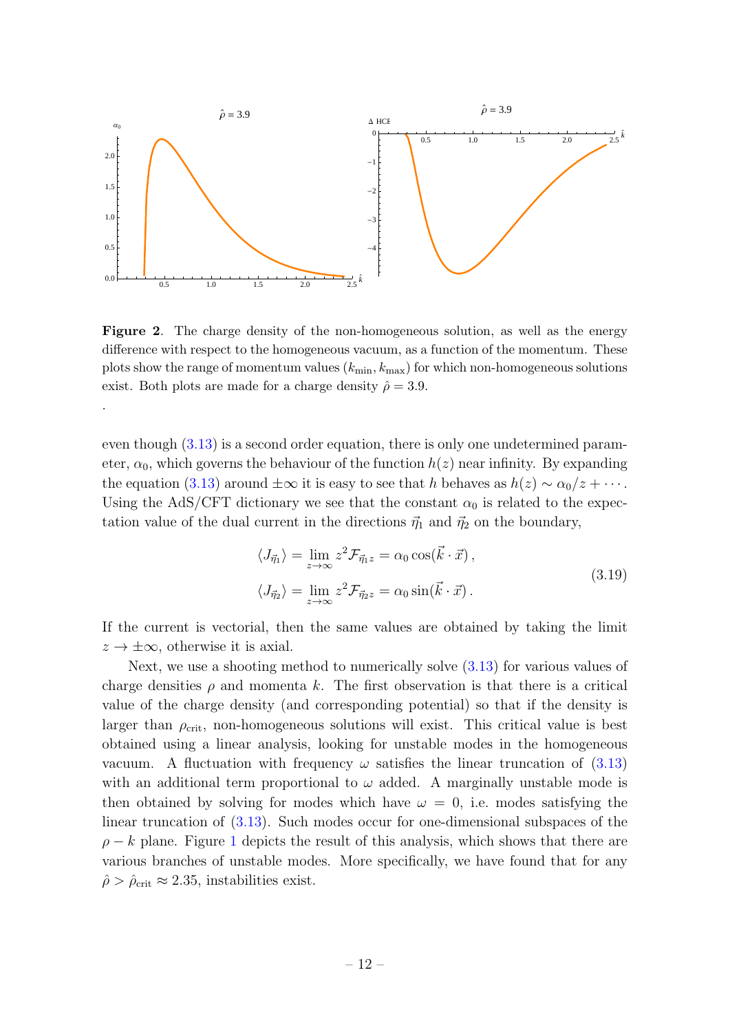

<span id="page-13-0"></span>Figure 2. The charge density of the non-homogeneous solution, as well as the energy difference with respect to the homogeneous vacuum, as a function of the momentum. These plots show the range of momentum values  $(k_{\min}, k_{\max})$  for which non-homogeneous solutions exist. Both plots are made for a charge density  $\hat{\rho} = 3.9$ .

.

even though [\(3.13\)](#page-11-1) is a second order equation, there is only one undetermined parameter,  $\alpha_0$ , which governs the behaviour of the function  $h(z)$  near infinity. By expanding the equation [\(3.13\)](#page-11-1) around  $\pm \infty$  it is easy to see that h behaves as  $h(z) \sim \alpha_0/z + \cdots$ . Using the AdS/CFT dictionary we see that the constant  $\alpha_0$  is related to the expectation value of the dual current in the directions  $\vec{\eta}_1$  and  $\vec{\eta}_2$  on the boundary,

<span id="page-13-1"></span>
$$
\langle J_{\vec{\eta}_1} \rangle = \lim_{z \to \infty} z^2 \mathcal{F}_{\vec{\eta}_1 z} = \alpha_0 \cos(\vec{k} \cdot \vec{x}),
$$
  

$$
\langle J_{\vec{\eta}_2} \rangle = \lim_{z \to \infty} z^2 \mathcal{F}_{\vec{\eta}_2 z} = \alpha_0 \sin(\vec{k} \cdot \vec{x}).
$$
 (3.19)

If the current is vectorial, then the same values are obtained by taking the limit  $z \to \pm \infty$ , otherwise it is axial.

Next, we use a shooting method to numerically solve [\(3.13\)](#page-11-1) for various values of charge densities  $\rho$  and momenta k. The first observation is that there is a critical value of the charge density (and corresponding potential) so that if the density is larger than  $\rho_{\rm crit}$ , non-homogeneous solutions will exist. This critical value is best obtained using a linear analysis, looking for unstable modes in the homogeneous vacuum. A fluctuation with frequency  $\omega$  satisfies the linear truncation of [\(3.13\)](#page-11-1) with an additional term proportional to  $\omega$  added. A marginally unstable mode is then obtained by solving for modes which have  $\omega = 0$ , i.e. modes satisfying the linear truncation of [\(3.13\)](#page-11-1). Such modes occur for one-dimensional subspaces of the  $\rho - k$  plane. Figure [1](#page-12-1) depicts the result of this analysis, which shows that there are various branches of unstable modes. More specifically, we have found that for any  $\hat{\rho} > \hat{\rho}_{\rm crit} \approx 2.35$ , instabilities exist.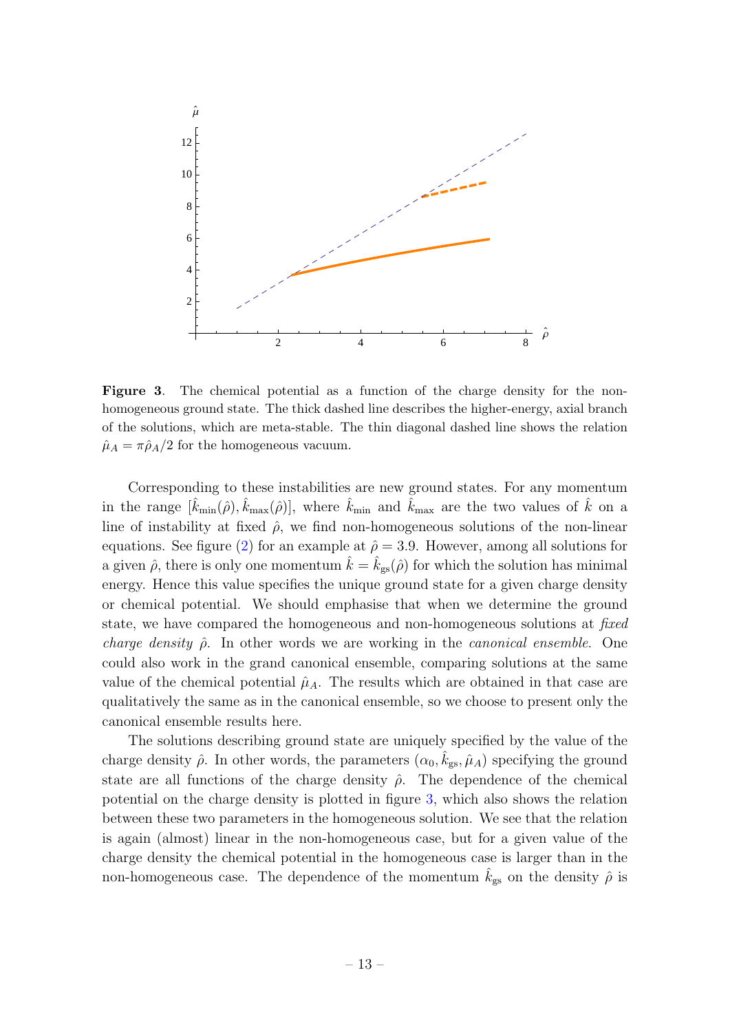

<span id="page-14-0"></span>Figure 3. The chemical potential as a function of the charge density for the nonhomogeneous ground state. The thick dashed line describes the higher-energy, axial branch of the solutions, which are meta-stable. The thin diagonal dashed line shows the relation  $\hat{\mu}_A = \pi \hat{\rho}_A/2$  for the homogeneous vacuum.

Corresponding to these instabilities are new ground states. For any momentum in the range  $[\hat{k}_{\min}(\hat{\rho}), \hat{k}_{\max}(\hat{\rho})]$ , where  $\hat{k}_{\min}$  and  $\hat{k}_{\max}$  are the two values of  $\hat{k}$  on a line of instability at fixed  $\hat{\rho}$ , we find non-homogeneous solutions of the non-linear equations. See figure [\(2\)](#page-13-0) for an example at  $\hat{\rho} = 3.9$ . However, among all solutions for a given  $\hat{\rho}$ , there is only one momentum  $\hat{k} = \hat{k}_{gs}(\hat{\rho})$  for which the solution has minimal energy. Hence this value specifies the unique ground state for a given charge density or chemical potential. We should emphasise that when we determine the ground state, we have compared the homogeneous and non-homogeneous solutions at fixed charge density  $\hat{\rho}$ . In other words we are working in the canonical ensemble. One could also work in the grand canonical ensemble, comparing solutions at the same value of the chemical potential  $\hat{\mu}_A$ . The results which are obtained in that case are qualitatively the same as in the canonical ensemble, so we choose to present only the canonical ensemble results here.

The solutions describing ground state are uniquely specified by the value of the charge density  $\hat{\rho}$ . In other words, the parameters  $(\alpha_0, \hat{k}_{gs}, \hat{\mu}_A)$  specifying the ground state are all functions of the charge density  $\hat{\rho}$ . The dependence of the chemical potential on the charge density is plotted in figure [3,](#page-14-0) which also shows the relation between these two parameters in the homogeneous solution. We see that the relation is again (almost) linear in the non-homogeneous case, but for a given value of the charge density the chemical potential in the homogeneous case is larger than in the non-homogeneous case. The dependence of the momentum  $k_{gs}$  on the density  $\hat{\rho}$  is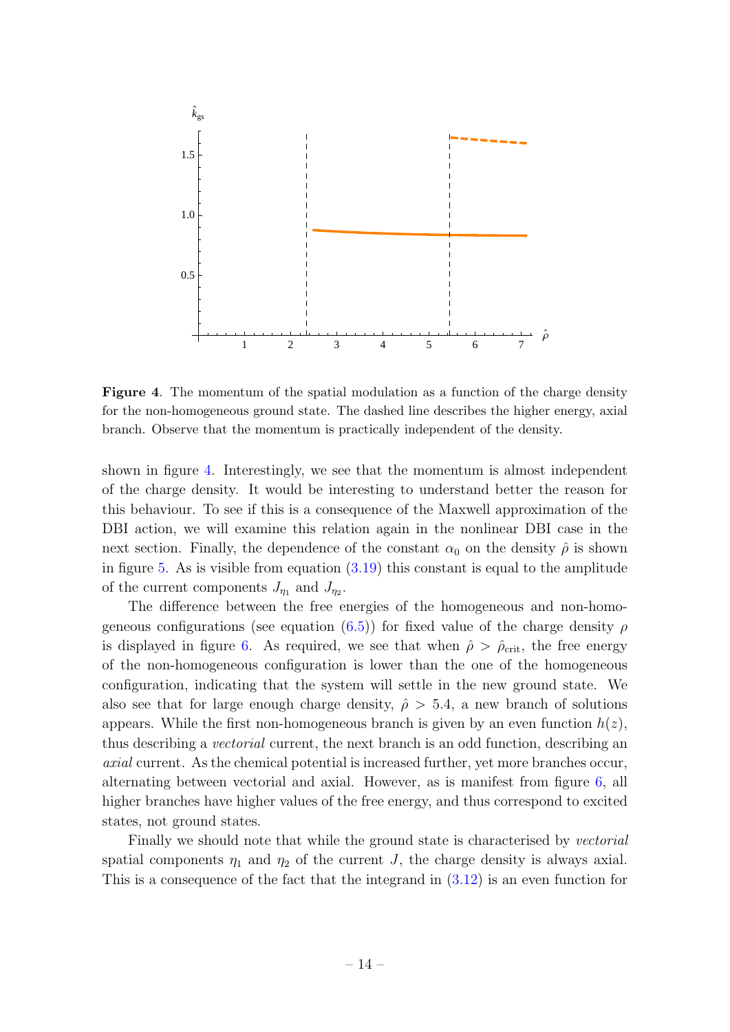

<span id="page-15-0"></span>Figure 4. The momentum of the spatial modulation as a function of the charge density for the non-homogeneous ground state. The dashed line describes the higher energy, axial branch. Observe that the momentum is practically independent of the density.

shown in figure [4.](#page-15-0) Interestingly, we see that the momentum is almost independent of the charge density. It would be interesting to understand better the reason for this behaviour. To see if this is a consequence of the Maxwell approximation of the DBI action, we will examine this relation again in the nonlinear DBI case in the next section. Finally, the dependence of the constant  $\alpha_0$  on the density  $\hat{\rho}$  is shown in figure [5.](#page-16-0) As is visible from equation  $(3.19)$  this constant is equal to the amplitude of the current components  $J_{\eta_1}$  and  $J_{\eta_2}$ .

The difference between the free energies of the homogeneous and non-homogeneous configurations (see equation  $(6.5)$ ) for fixed value of the charge density  $\rho$ is displayed in figure [6.](#page-16-1) As required, we see that when  $\hat{\rho} > \hat{\rho}_{\rm crit}$ , the free energy of the non-homogeneous configuration is lower than the one of the homogeneous configuration, indicating that the system will settle in the new ground state. We also see that for large enough charge density,  $\hat{\rho} > 5.4$ , a new branch of solutions appears. While the first non-homogeneous branch is given by an even function  $h(z)$ , thus describing a vectorial current, the next branch is an odd function, describing an axial current. As the chemical potential is increased further, yet more branches occur, alternating between vectorial and axial. However, as is manifest from figure [6,](#page-16-1) all higher branches have higher values of the free energy, and thus correspond to excited states, not ground states.

Finally we should note that while the ground state is characterised by vectorial spatial components  $\eta_1$  and  $\eta_2$  of the current J, the charge density is always axial. This is a consequence of the fact that the integrand in [\(3.12\)](#page-11-0) is an even function for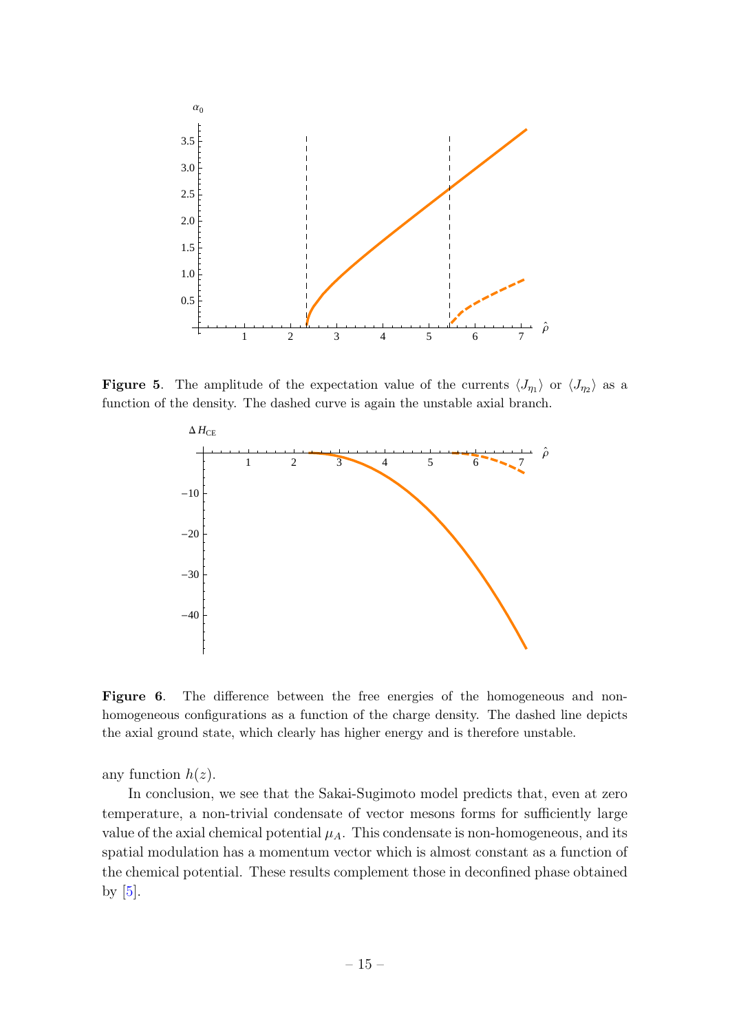

**Figure 5.** The amplitude of the expectation value of the currents  $\langle J_{\eta_1} \rangle$  or  $\langle J_{\eta_2} \rangle$  as a function of the density. The dashed curve is again the unstable axial branch.

<span id="page-16-0"></span>

<span id="page-16-1"></span>Figure 6. The difference between the free energies of the homogeneous and nonhomogeneous configurations as a function of the charge density. The dashed line depicts the axial ground state, which clearly has higher energy and is therefore unstable.

any function  $h(z)$ .

In conclusion, we see that the Sakai-Sugimoto model predicts that, even at zero temperature, a non-trivial condensate of vector mesons forms for sufficiently large value of the axial chemical potential  $\mu_A$ . This condensate is non-homogeneous, and its spatial modulation has a momentum vector which is almost constant as a function of the chemical potential. These results complement those in deconfined phase obtained by  $[5]$ .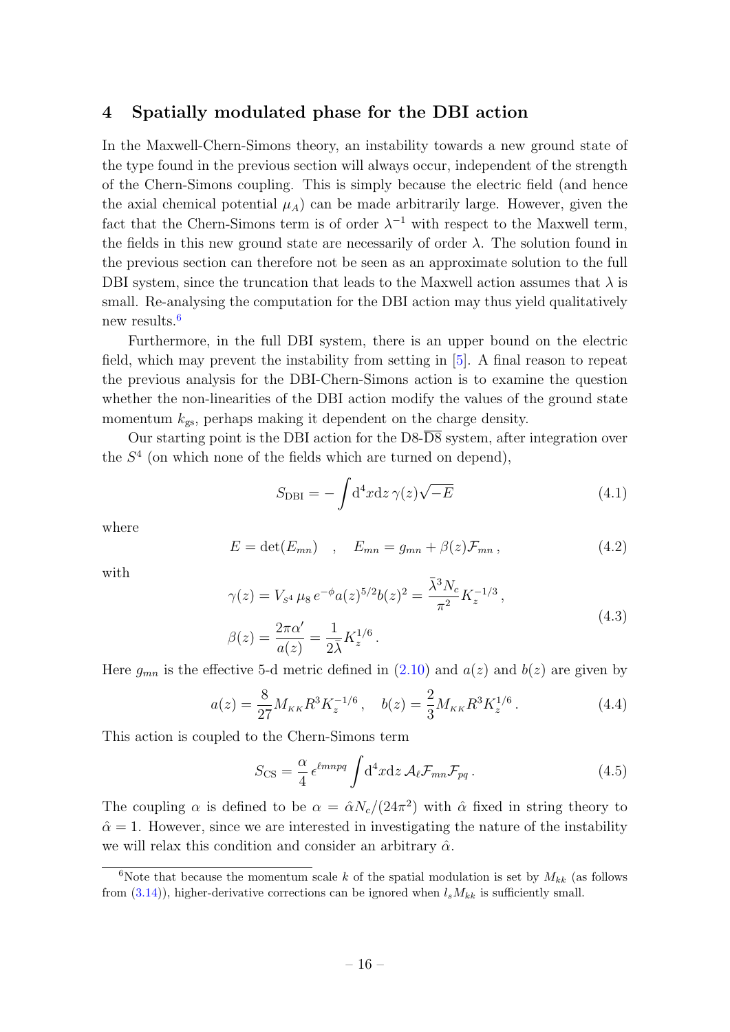## <span id="page-17-0"></span>4 Spatially modulated phase for the DBI action

In the Maxwell-Chern-Simons theory, an instability towards a new ground state of the type found in the previous section will always occur, independent of the strength of the Chern-Simons coupling. This is simply because the electric field (and hence the axial chemical potential  $\mu_A$ ) can be made arbitrarily large. However, given the fact that the Chern-Simons term is of order  $\lambda^{-1}$  with respect to the Maxwell term, the fields in this new ground state are necessarily of order  $\lambda$ . The solution found in the previous section can therefore not be seen as an approximate solution to the full DBI system, since the truncation that leads to the Maxwell action assumes that  $\lambda$  is small. Re-analysing the computation for the DBI action may thus yield qualitatively new results.<sup>[6](#page-17-1)</sup>

Furthermore, in the full DBI system, there is an upper bound on the electric field, which may prevent the instability from setting in [\[5\]](#page-24-4). A final reason to repeat the previous analysis for the DBI-Chern-Simons action is to examine the question whether the non-linearities of the DBI action modify the values of the ground state momentum  $k_{\rm gs}$ , perhaps making it dependent on the charge density.

Our starting point is the DBI action for the  $DS-\overline{DS}$  system, after integration over the  $S<sup>4</sup>$  (on which none of the fields which are turned on depend),

$$
S_{\rm DBI} = -\int d^4x \, dz \, \gamma(z) \sqrt{-E} \tag{4.1}
$$

where

$$
E = \det(E_{mn}) \quad , \quad E_{mn} = g_{mn} + \beta(z) \mathcal{F}_{mn} \,, \tag{4.2}
$$

with

$$
\gamma(z) = V_{s^4} \mu_8 e^{-\phi} a(z)^{5/2} b(z)^2 = \frac{\bar{\lambda}^3 N_c}{\pi^2} K_z^{-1/3},
$$
  

$$
\beta(z) = \frac{2\pi \alpha'}{a(z)} = \frac{1}{2\bar{\lambda}} K_z^{1/6}.
$$
 (4.3)

Here  $g_{mn}$  is the effective 5-d metric defined in [\(2.10\)](#page-6-2) and  $a(z)$  and  $b(z)$  are given by

$$
a(z) = \frac{8}{27} M_{KK} R^3 K_z^{-1/6}, \quad b(z) = \frac{2}{3} M_{KK} R^3 K_z^{1/6}.
$$
 (4.4)

This action is coupled to the Chern-Simons term

$$
S_{\rm CS} = \frac{\alpha}{4} \epsilon^{\ell mnpq} \int d^4x dz \, \mathcal{A}_{\ell} \mathcal{F}_{mn} \mathcal{F}_{pq} \,. \tag{4.5}
$$

The coupling  $\alpha$  is defined to be  $\alpha = \hat{\alpha} N_c/(24\pi^2)$  with  $\hat{\alpha}$  fixed in string theory to  $\hat{\alpha} = 1$ . However, since we are interested in investigating the nature of the instability we will relax this condition and consider an arbitrary  $\hat{\alpha}$ .

<span id="page-17-1"></span><sup>&</sup>lt;sup>6</sup>Note that because the momentum scale k of the spatial modulation is set by  $M_{kk}$  (as follows from [\(3.14\)](#page-11-4)), higher-derivative corrections can be ignored when  $l_sM_{kk}$  is sufficiently small.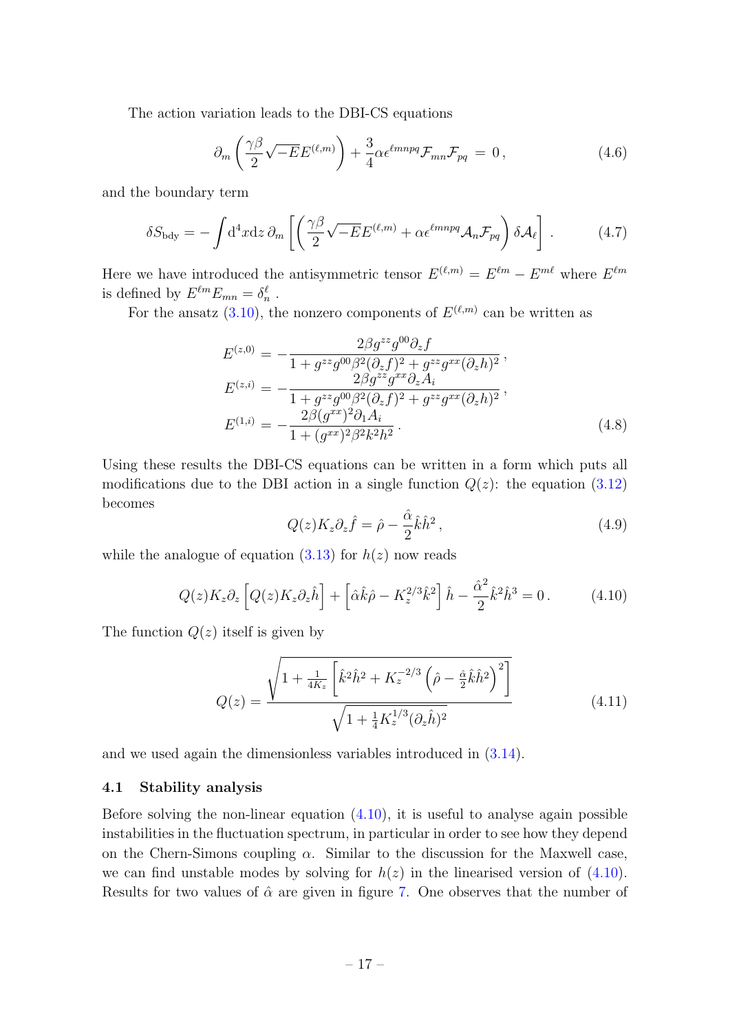The action variation leads to the DBI-CS equations

$$
\partial_m \left( \frac{\gamma \beta}{2} \sqrt{-E} E^{(\ell, m)} \right) + \frac{3}{4} \alpha \epsilon^{\ell m n p q} \mathcal{F}_{m n} \mathcal{F}_{p q} = 0, \qquad (4.6)
$$

and the boundary term

$$
\delta S_{\text{bdy}} = -\int d^4x dz \,\partial_m \left[ \left( \frac{\gamma \beta}{2} \sqrt{-E} E^{(\ell,m)} + \alpha \epsilon^{\ell mnpq} \mathcal{A}_n \mathcal{F}_{pq} \right) \delta \mathcal{A}_\ell \right]. \tag{4.7}
$$

Here we have introduced the antisymmetric tensor  $E^{(\ell,m)} = E^{\ell m} - E^{m\ell}$  where  $E^{\ell m}$ is defined by  $E^{\ell m} E_{mn} = \delta_n^{\ell}$ .

For the ansatz [\(3.10\)](#page-11-3), the nonzero components of  $E^{(\ell,m)}$  can be written as

$$
E^{(z,0)} = -\frac{2\beta g^{zz} g^{00} \partial_z f}{1 + g^{zz} g^{00} \beta^2 (\partial_z f)^2 + g^{zz} g^{xx} (\partial_z h)^2},
$$
  
\n
$$
E^{(z,i)} = -\frac{2\beta g^{zz} g^{xx} \partial_z A_i}{1 + g^{zz} g^{00} \beta^2 (\partial_z f)^2 + g^{zz} g^{xx} (\partial_z h)^2},
$$
  
\n
$$
E^{(1,i)} = -\frac{2\beta (g^{xx})^2 \partial_1 A_i}{1 + (g^{xx})^2 \beta^2 k^2 h^2}.
$$
\n(4.8)

Using these results the DBI-CS equations can be written in a form which puts all modifications due to the DBI action in a single function  $Q(z)$ : the equation  $(3.12)$ becomes

$$
Q(z)K_z \partial_z \hat{f} = \hat{\rho} - \frac{\hat{\alpha}}{2} \hat{k} \hat{h}^2, \qquad (4.9)
$$

while the analogue of equation  $(3.13)$  for  $h(z)$  now reads

<span id="page-18-1"></span>
$$
Q(z)K_z \partial_z \left[Q(z)K_z \partial_z \hat{h}\right] + \left[\hat{\alpha}\hat{k}\hat{\rho} - K_z^{2/3}\hat{k}^2\right]\hat{h} - \frac{\hat{\alpha}^2}{2}\hat{k}^2\hat{h}^3 = 0. \tag{4.10}
$$

The function  $Q(z)$  itself is given by

<span id="page-18-2"></span>
$$
Q(z) = \frac{\sqrt{1 + \frac{1}{4K_z} \left[\hat{k}^2 \hat{h}^2 + K_z^{-2/3} \left(\hat{\rho} - \frac{\hat{\alpha}}{2} \hat{k} \hat{h}^2\right)^2\right]}}{\sqrt{1 + \frac{1}{4} K_z^{1/3} (\partial_z \hat{h})^2}}
$$
(4.11)

and we used again the dimensionless variables introduced in [\(3.14\)](#page-11-4).

#### <span id="page-18-0"></span>4.1 Stability analysis

Before solving the non-linear equation  $(4.10)$ , it is useful to analyse again possible instabilities in the fluctuation spectrum, in particular in order to see how they depend on the Chern-Simons coupling  $\alpha$ . Similar to the discussion for the Maxwell case, we can find unstable modes by solving for  $h(z)$  in the linearised version of  $(4.10)$ . Results for two values of  $\hat{\alpha}$  are given in figure [7.](#page-19-0) One observes that the number of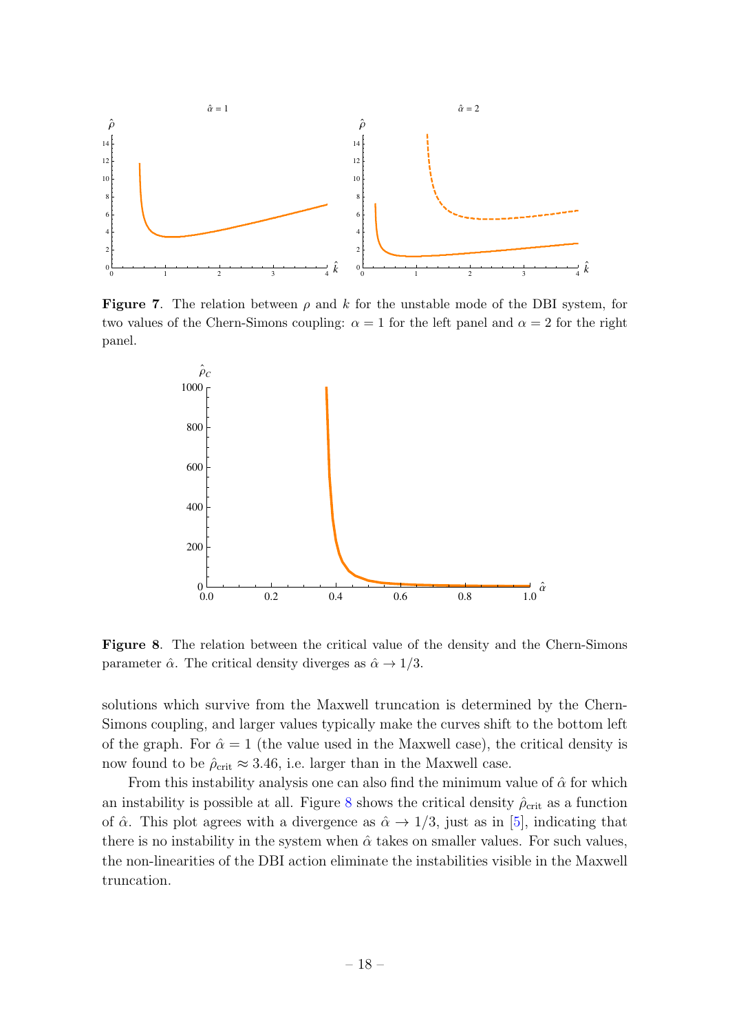

**Figure 7.** The relation between  $\rho$  and k for the unstable mode of the DBI system, for two values of the Chern-Simons coupling:  $\alpha = 1$  for the left panel and  $\alpha = 2$  for the right panel.

<span id="page-19-0"></span>

<span id="page-19-1"></span>Figure 8. The relation between the critical value of the density and the Chern-Simons parameter  $\hat{\alpha}$ . The critical density diverges as  $\hat{\alpha} \rightarrow 1/3$ .

solutions which survive from the Maxwell truncation is determined by the Chern-Simons coupling, and larger values typically make the curves shift to the bottom left of the graph. For  $\hat{\alpha} = 1$  (the value used in the Maxwell case), the critical density is now found to be  $\hat{\rho}_{\rm crit} \approx 3.46$ , i.e. larger than in the Maxwell case.

From this instability analysis one can also find the minimum value of  $\hat{\alpha}$  for which an instability is possible at all. Figure [8](#page-19-1) shows the critical density  $\rho_{\rm crit}$  as a function of  $\hat{\alpha}$ . This plot agrees with a divergence as  $\hat{\alpha} \to 1/3$ , just as in [\[5\]](#page-24-4), indicating that there is no instability in the system when  $\hat{\alpha}$  takes on smaller values. For such values, the non-linearities of the DBI action eliminate the instabilities visible in the Maxwell truncation.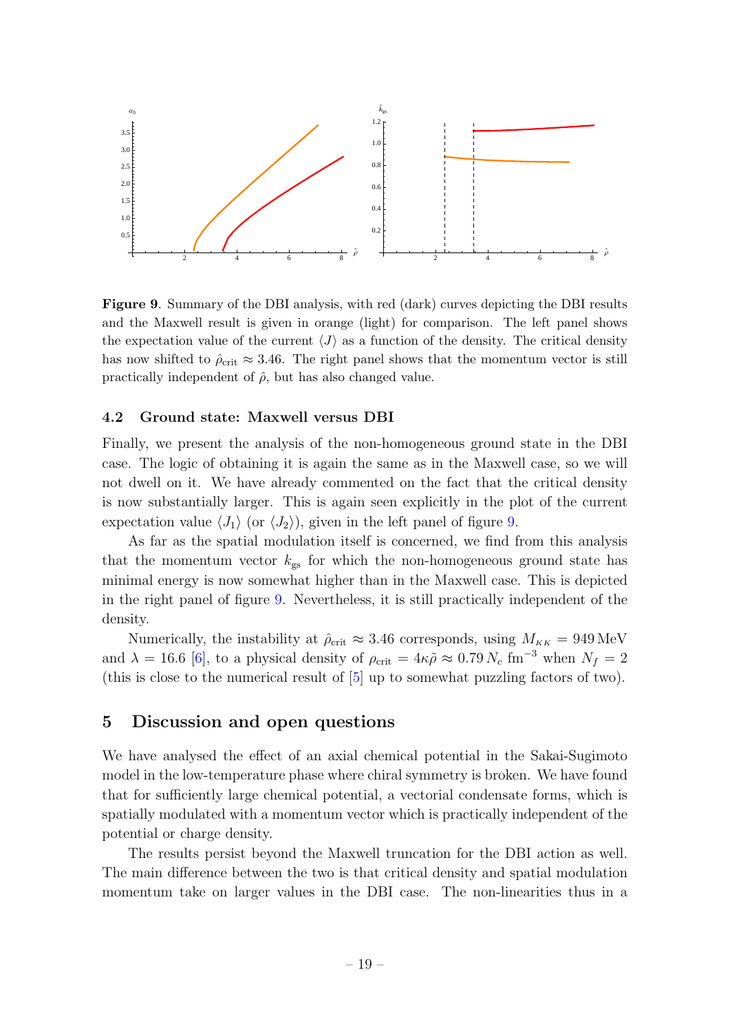

<span id="page-20-2"></span>Figure 9. Summary of the DBI analysis, with red (dark) curves depicting the DBI results and the Maxwell result is given in orange (light) for comparison. The left panel shows the expectation value of the current  $\langle J \rangle$  as a function of the density. The critical density has now shifted to  $\hat{\rho}_{\rm crit} \approx 3.46$ . The right panel shows that the momentum vector is still practically independent of  $\hat{\rho}$ , but has also changed value.

#### <span id="page-20-0"></span>4.2 Ground state: Maxwell versus DBI

Finally, we present the analysis of the non-homogeneous ground state in the DBI case. The logic of obtaining it is again the same as in the Maxwell case, so we will not dwell on it. We have already commented on the fact that the critical density is now substantially larger. This is again seen explicitly in the plot of the current expectation value  $\langle J_1 \rangle$  (or  $\langle J_2 \rangle$ ), given in the left panel of figure [9.](#page-20-2)

As far as the spatial modulation itself is concerned, we find from this analysis that the momentum vector  $k_{gs}$  for which the non-homogeneous ground state has minimal energy is now somewhat higher than in the Maxwell case. This is depicted in the right panel of figure [9.](#page-20-2) Nevertheless, it is still practically independent of the density.

Numerically, the instability at  $\hat{\rho}_{\rm crit} \approx 3.46$  corresponds, using  $M_{KK} = 949 \,\text{MeV}$ and  $\lambda = 16.6$  [\[6\]](#page-24-5), to a physical density of  $\rho_{\rm crit} = 4\kappa \tilde{\rho} \approx 0.79 N_c$  fm<sup>-3</sup> when  $N_f = 2$ (this is close to the numerical result of [\[5\]](#page-24-4) up to somewhat puzzling factors of two).

## <span id="page-20-1"></span>5 Discussion and open questions

We have analysed the effect of an axial chemical potential in the Sakai-Sugimoto model in the low-temperature phase where chiral symmetry is broken. We have found that for sufficiently large chemical potential, a vectorial condensate forms, which is spatially modulated with a momentum vector which is practically independent of the potential or charge density.

The results persist beyond the Maxwell truncation for the DBI action as well. The main difference between the two is that critical density and spatial modulation momentum take on larger values in the DBI case. The non-linearities thus in a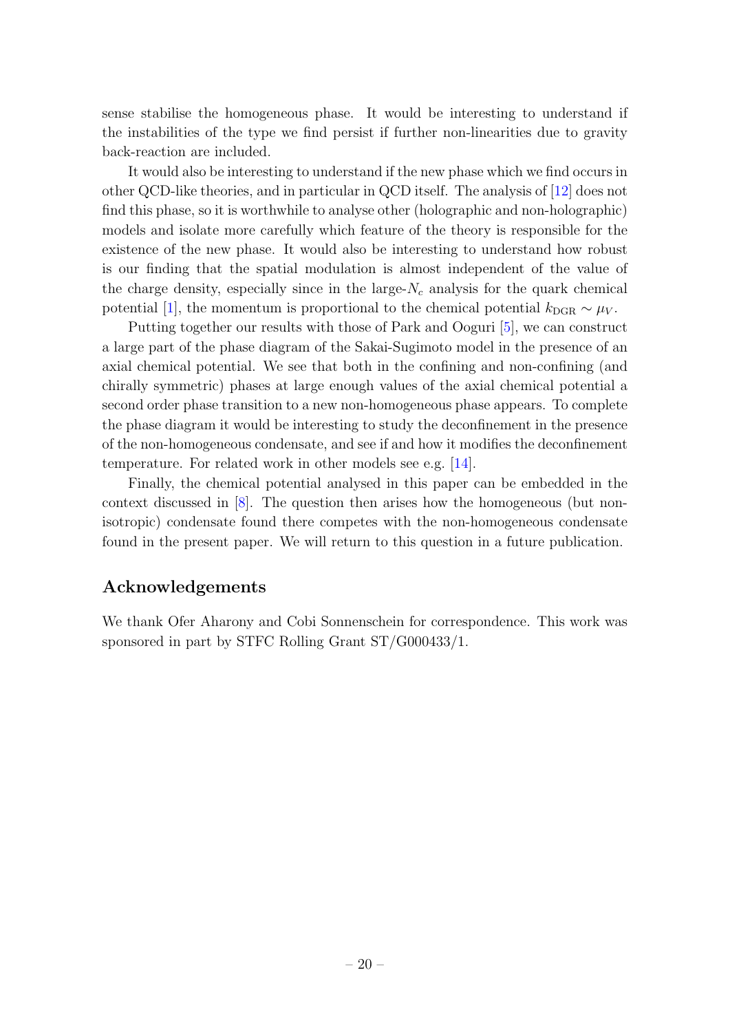sense stabilise the homogeneous phase. It would be interesting to understand if the instabilities of the type we find persist if further non-linearities due to gravity back-reaction are included.

It would also be interesting to understand if the new phase which we find occurs in other QCD-like theories, and in particular in QCD itself. The analysis of [\[12\]](#page-24-10) does not find this phase, so it is worthwhile to analyse other (holographic and non-holographic) models and isolate more carefully which feature of the theory is responsible for the existence of the new phase. It would also be interesting to understand how robust is our finding that the spatial modulation is almost independent of the value of the charge density, especially since in the large- $N_c$  analysis for the quark chemical potential [\[1\]](#page-24-0), the momentum is proportional to the chemical potential  $k_{\text{DGR}} \sim \mu_V$ .

Putting together our results with those of Park and Ooguri [\[5\]](#page-24-4), we can construct a large part of the phase diagram of the Sakai-Sugimoto model in the presence of an axial chemical potential. We see that both in the confining and non-confining (and chirally symmetric) phases at large enough values of the axial chemical potential a second order phase transition to a new non-homogeneous phase appears. To complete the phase diagram it would be interesting to study the deconfinement in the presence of the non-homogeneous condensate, and see if and how it modifies the deconfinement temperature. For related work in other models see e.g. [\[14\]](#page-24-13).

Finally, the chemical potential analysed in this paper can be embedded in the context discussed in [\[8\]](#page-24-7). The question then arises how the homogeneous (but nonisotropic) condensate found there competes with the non-homogeneous condensate found in the present paper. We will return to this question in a future publication.

## Acknowledgements

We thank Ofer Aharony and Cobi Sonnenschein for correspondence. This work was sponsored in part by STFC Rolling Grant ST/G000433/1.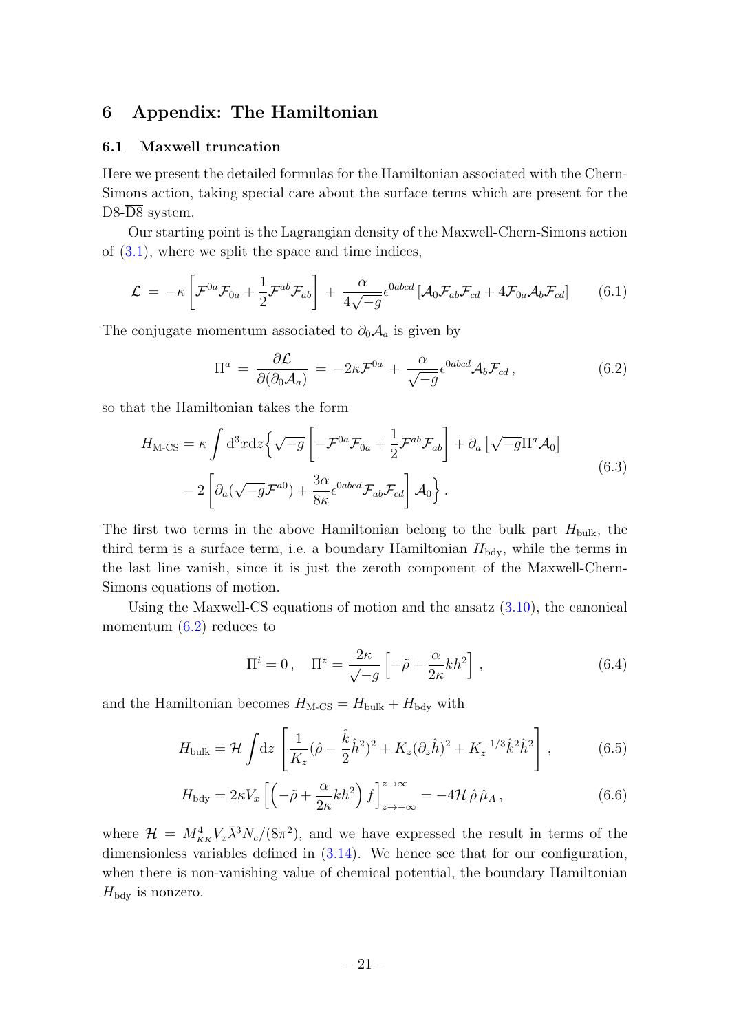## <span id="page-22-0"></span>6 Appendix: The Hamiltonian

#### <span id="page-22-1"></span>6.1 Maxwell truncation

Here we present the detailed formulas for the Hamiltonian associated with the Chern-Simons action, taking special care about the surface terms which are present for the  $D8-\overline{D8}$  system.

Our starting point is the Lagrangian density of the Maxwell-Chern-Simons action of  $(3.1)$ , where we split the space and time indices,

$$
\mathcal{L} = -\kappa \left[ \mathcal{F}^{0a} \mathcal{F}_{0a} + \frac{1}{2} \mathcal{F}^{ab} \mathcal{F}_{ab} \right] + \frac{\alpha}{4\sqrt{-g}} \epsilon^{0abcd} \left[ \mathcal{A}_0 \mathcal{F}_{ab} \mathcal{F}_{cd} + 4 \mathcal{F}_{0a} \mathcal{A}_b \mathcal{F}_{cd} \right] \tag{6.1}
$$

The conjugate momentum associated to  $\partial_0 A_a$  is given by

<span id="page-22-3"></span>
$$
\Pi^{a} = \frac{\partial \mathcal{L}}{\partial(\partial_{0} \mathcal{A}_{a})} = -2\kappa \mathcal{F}^{0a} + \frac{\alpha}{\sqrt{-g}} \epsilon^{0abcd} \mathcal{A}_{b} \mathcal{F}_{cd} , \qquad (6.2)
$$

so that the Hamiltonian takes the form

$$
H_{\text{M-CS}} = \kappa \int d^3 \overline{x} dz \left\{ \sqrt{-g} \left[ -\mathcal{F}^{0a} \mathcal{F}_{0a} + \frac{1}{2} \mathcal{F}^{ab} \mathcal{F}_{ab} \right] + \partial_a \left[ \sqrt{-g} \Pi^a \mathcal{A}_0 \right] \right.
$$
  

$$
- 2 \left[ \partial_a (\sqrt{-g} \mathcal{F}^{a0}) + \frac{3\alpha}{8\kappa} \epsilon^{0abcd} \mathcal{F}_{ab} \mathcal{F}_{cd} \right] \mathcal{A}_0 \right\}.
$$
 (6.3)

The first two terms in the above Hamiltonian belong to the bulk part  $H_{\text{bulk}}$ , the third term is a surface term, i.e. a boundary Hamiltonian  $H_{\text{bdy}}$ , while the terms in the last line vanish, since it is just the zeroth component of the Maxwell-Chern-Simons equations of motion.

Using the Maxwell-CS equations of motion and the ansatz [\(3.10\)](#page-11-3), the canonical momentum  $(6.2)$  reduces to

<span id="page-22-4"></span><span id="page-22-2"></span>
$$
\Pi^{i} = 0, \quad \Pi^{z} = \frac{2\kappa}{\sqrt{-g}} \left[ -\tilde{\rho} + \frac{\alpha}{2\kappa} kh^{2} \right], \tag{6.4}
$$

and the Hamiltonian becomes  $H_{\text{M-CS}} = H_{\text{bulk}} + H_{\text{bdy}}$  with

$$
H_{\text{bulk}} = \mathcal{H} \int dz \left[ \frac{1}{K_z} (\hat{\rho} - \frac{\hat{k}}{2} \hat{h}^2)^2 + K_z (\partial_z \hat{h})^2 + K_z^{-1/3} \hat{k}^2 \hat{h}^2 \right],
$$
 (6.5)

$$
H_{\text{bdy}} = 2\kappa V_x \left[ \left( -\tilde{\rho} + \frac{\alpha}{2\kappa} k h^2 \right) f \right]_{z \to -\infty}^{z \to \infty} = -4\mathcal{H} \,\hat{\rho} \,\hat{\mu}_A \,, \tag{6.6}
$$

where  $\mathcal{H} = M_{KK}^4 V_x \bar{\lambda}^3 N_c / (8\pi^2)$ , and we have expressed the result in terms of the dimensionless variables defined in [\(3.14\)](#page-11-4). We hence see that for our configuration, when there is non-vanishing value of chemical potential, the boundary Hamiltonian  $H_{\text{bdy}}$  is nonzero.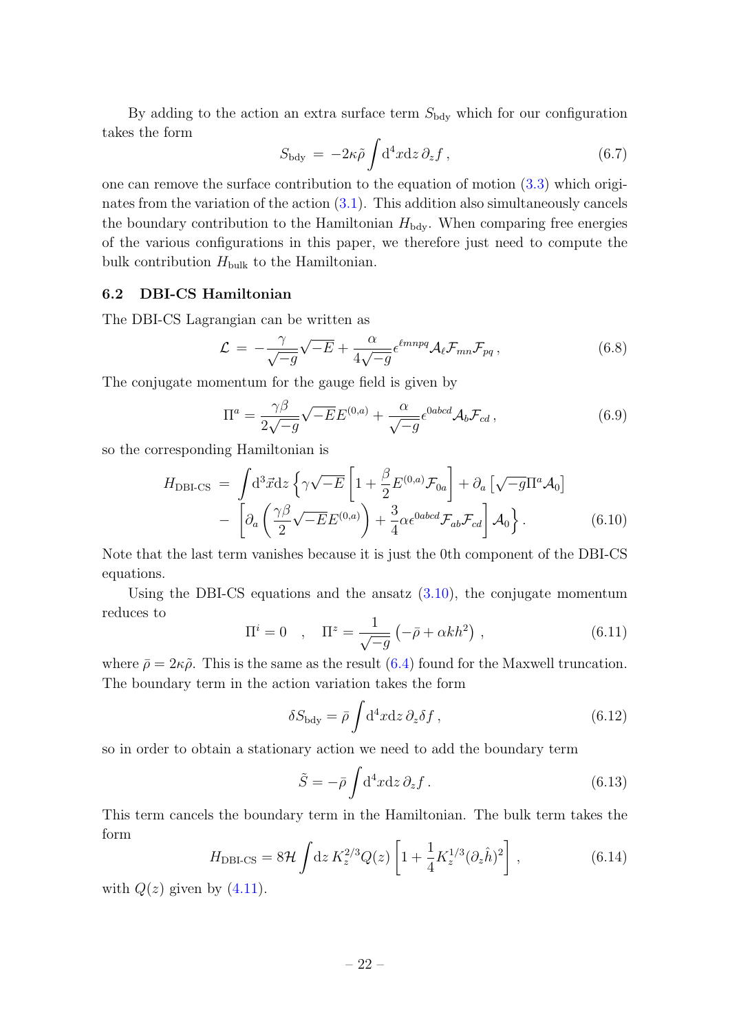By adding to the action an extra surface term  $S_{\text{bdy}}$  which for our configuration takes the form

$$
S_{\text{bdy}} = -2\kappa \tilde{\rho} \int d^4 x dz \, \partial_z f \,, \tag{6.7}
$$

one can remove the surface contribution to the equation of motion [\(3.3\)](#page-10-6) which originates from the variation of the action  $(3.1)$ . This addition also simultaneously cancels the boundary contribution to the Hamiltonian  $H_{\text{bdy}}$ . When comparing free energies of the various configurations in this paper, we therefore just need to compute the bulk contribution  $H_{\text{bulk}}$  to the Hamiltonian.

#### <span id="page-23-0"></span>6.2 DBI-CS Hamiltonian

The DBI-CS Lagrangian can be written as

$$
\mathcal{L} = -\frac{\gamma}{\sqrt{-g}}\sqrt{-E} + \frac{\alpha}{4\sqrt{-g}}\epsilon^{\ell mnpq}\mathcal{A}_{\ell}\mathcal{F}_{mn}\mathcal{F}_{pq},\qquad(6.8)
$$

The conjugate momentum for the gauge field is given by

$$
\Pi^{a} = \frac{\gamma \beta}{2\sqrt{-g}} \sqrt{-E} E^{(0,a)} + \frac{\alpha}{\sqrt{-g}} \epsilon^{0abcd} A_b \mathcal{F}_{cd} , \qquad (6.9)
$$

so the corresponding Hamiltonian is

$$
H_{\text{DBI-CS}} = \int d^3 \vec{x} dz \left\{ \gamma \sqrt{-E} \left[ 1 + \frac{\beta}{2} E^{(0,a)} \mathcal{F}_{0a} \right] + \partial_a \left[ \sqrt{-g} \Pi^a \mathcal{A}_0 \right] - \left[ \partial_a \left( \frac{\gamma \beta}{2} \sqrt{-E} E^{(0,a)} \right) + \frac{3}{4} \alpha \epsilon^{0abcd} \mathcal{F}_{ab} \mathcal{F}_{cd} \right] \mathcal{A}_0 \right\}.
$$
 (6.10)

Note that the last term vanishes because it is just the 0th component of the DBI-CS equations.

Using the DBI-CS equations and the ansatz  $(3.10)$ , the conjugate momentum reduces to

$$
\Pi^{i} = 0 \quad , \quad \Pi^{z} = \frac{1}{\sqrt{-g}} \left( -\bar{\rho} + \alpha k h^{2} \right) , \qquad (6.11)
$$

where  $\bar{\rho} = 2\kappa \tilde{\rho}$ . This is the same as the result [\(6.4\)](#page-22-4) found for the Maxwell truncation. The boundary term in the action variation takes the form

$$
\delta S_{\text{bdy}} = \bar{\rho} \int d^4 x dz \, \partial_z \delta f \,, \tag{6.12}
$$

so in order to obtain a stationary action we need to add the boundary term

$$
\tilde{S} = -\bar{\rho} \int d^4 x dz \, \partial_z f \,. \tag{6.13}
$$

This term cancels the boundary term in the Hamiltonian. The bulk term takes the form

$$
H_{\text{DBLCS}} = 8\mathcal{H} \int dz \, K_z^{2/3} Q(z) \left[ 1 + \frac{1}{4} K_z^{1/3} (\partial_z \hat{h})^2 \right] \,, \tag{6.14}
$$

with  $Q(z)$  given by  $(4.11)$ .